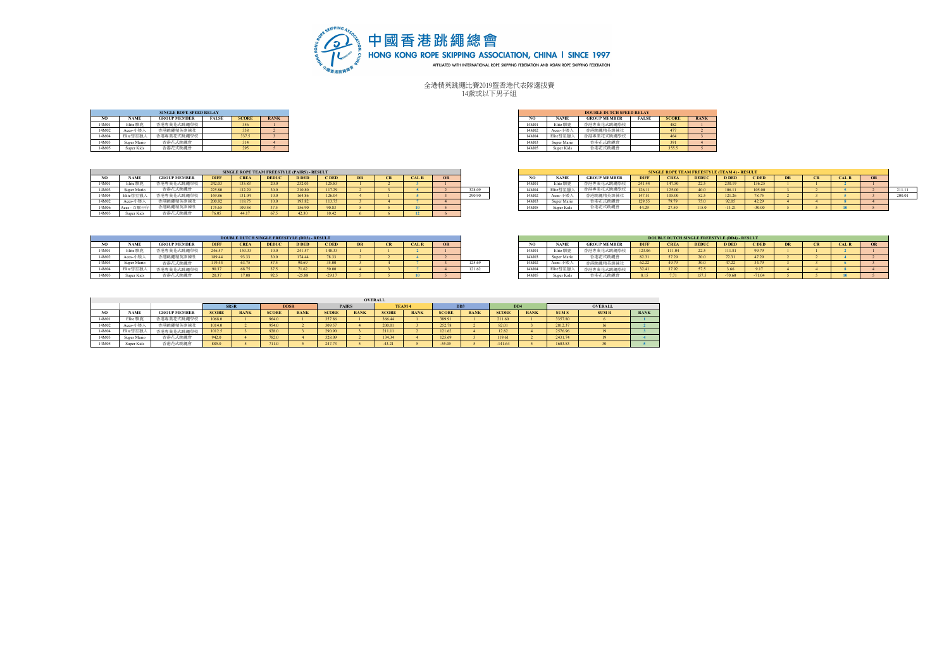

全港精英跳繩比賽2019暨香港代表隊選拔賽 14歲或以下男子組

|       |             | <b>SINGLE ROPE SPEED RELAY</b> |              |              |             |
|-------|-------------|--------------------------------|--------------|--------------|-------------|
| NO.   | <b>NAME</b> | <b>GROUP MEMBER</b>            | <b>FALSE</b> | <b>SCORE</b> | <b>RANK</b> |
| 14M01 | Elite 馴鹿    | 下車業花式跳縄県校                      |              | 256<br>,,,,  |             |
| 14M02 | Aces-小矮人    | 香港跳繩精英訓練社                      |              | 338          |             |
| 14M04 | Elite彗星獵    | 香港專業花式跳鑼學校                     |              | 337.5        |             |
| 14M03 | Super Mario | 香港花式跳繩                         |              | 314          |             |
| 14M05 | Super Kids  | 香港花式跳繩會                        |              | ---<br>295.  |             |

|                |                   | <b>SINGLE ROPE SPEED RELAY</b> |              |              |             |
|----------------|-------------------|--------------------------------|--------------|--------------|-------------|
| ŃО             | <b>NAME</b>       | <b>GROUP MEMBER</b>            | <b>FALSE</b> | <b>SCORE</b> | <b>RANK</b> |
| M <sub>0</sub> | Elite 馴鹿          | 港車業花式跳鑼學校                      |              | 356          |             |
| M02            | Aces-小矮 /         | 香港跳繩精英訓練社                      |              | 338          |             |
| 'M04           | Elite彗星獵          | 港車業花式跳鑼學校                      |              | 337.5        |             |
| M03            | Super Mario       | 港花式跳繩會                         |              | 314          |             |
| M05            | <b>Super Kids</b> | 港花式跳繩會                         |              | 295          |             |

|                  |             |                     |             |        | SINGLE ROPE TEAM FREESTYLE (PAIRS) - RESULT |              |        |           |           |             |        |                  |                                          |                       |             |              | <b>SINGLE ROPE TEAM FREESTYLE (TEAM 4) - RESULT</b> |              |        |           |              |  |
|------------------|-------------|---------------------|-------------|--------|---------------------------------------------|--------------|--------|-----------|-----------|-------------|--------|------------------|------------------------------------------|-----------------------|-------------|--------------|-----------------------------------------------------|--------------|--------|-----------|--------------|--|
|                  | <b>NAME</b> | <b>GROUP MEMBER</b> | <b>DIFF</b> | CRE.   | <b>DEDU</b>                                 | <b>D DED</b> |        | <b>DR</b> | <b>CK</b> | <b>CALR</b> |        |                  | <b>NAME</b>                              | <b>GROUP MEMBER</b>   | <b>DIFF</b> | <b>CREA</b>  | <b>DEDUC</b>                                        | <b>D DED</b> | C DED  | <b>CR</b> | <b>CAL R</b> |  |
| 14M <sub>0</sub> | Elite 馴!    | 香港專業花式跳繩學校          | 242.03      | 135.83 |                                             | 232.03       | 125.83 |           |           |             |        | 14M <sub>0</sub> | Elite $\mathbb{S}^{\mathbb{C}^{\prime}}$ | <b>专港專業花。</b><br>医式跳绳 | 241.44      | 147.50       | -44                                                 | 230.19       | 36.25  |           |              |  |
| 14M05            | Super Mario | 香港花式跳繩會             | 225.80      |        |                                             | 210.80       | 117.29 |           |           |             | 328.09 | 14M0             | Elite彗星圈.                                | 香港專業花式跳繩              | 126.11      | 125.00       |                                                     | 106.11       | 105.00 |           |              |  |
| 14M04            | Elite彗星獵    | 業花式跳繩學校             | 169.86      | 131.04 | 10.0                                        | 164.86       | 26.04  |           |           |             | 290.90 | 14M02            | Aces-                                    | 香港跳繩精英訓練              | 147.51      | .05.00       | - 24                                                | 121.26       | 78.75  |           |              |  |
| 14M02            | $Aces-$     | 跳繩精英訓練社             | 200.82      |        |                                             | 195.82       |        |           |           |             |        | 14M0.            | Super Mario                              | 港花式跳繩1                | 129.55      | 270          |                                                     | 92.05        | 42.29  |           |              |  |
| 14M06            | $Aces -$    | 跳繩精英訓練社             | 175.65      |        |                                             | 156.90       | 90.83  |           |           |             |        | 14M05            | Super Kids                               | お港花式跡編く               | 44.29       | <b>1750.</b> |                                                     | $-13.21$     |        |           |              |  |
| 14M05            | Super Kids  | 香港花式跳纖會             | 76.05       | 44.17  |                                             | 42.30        |        |           |           |             |        |                  |                                          |                       |             |              |                                                     |              |        |           |              |  |

|      |             |                     |             |                  | SINGLE ROPE TEAM FREESTYLE (PAIRS) - RESULT |              |        |  |             |        |                   |             |                                                 |             |             |              | <b>SINGLE ROPE TEAM FREESTYLE (TEAM 4) - RESULT</b> |                |           |           |             |                 |
|------|-------------|---------------------|-------------|------------------|---------------------------------------------|--------------|--------|--|-------------|--------|-------------------|-------------|-------------------------------------------------|-------------|-------------|--------------|-----------------------------------------------------|----------------|-----------|-----------|-------------|-----------------|
| NO   | <b>NAME</b> | <b>GROUP MEMBER</b> | <b>DIFF</b> | <b>TREA</b>      |                                             | <b>D DEI</b> | C DED  |  | <b>CALR</b> |        |                   | <b>NAME</b> | <b>GROUP MEMBER</b>                             | <b>DIFF</b> | <b>CREA</b> | <b>DEDUC</b> | <b>D DED</b>                                        | <b>DED</b>     | <b>DR</b> | <b>CR</b> | <b>CALR</b> |                 |
| 4M01 |             |                     | 242.0       | 135.83           |                                             | 232.03       | 125.83 |  |             |        | 14M0 <sup>*</sup> |             | 香港惠堂花式跡編屬                                       |             | 147.50      | 22.5         |                                                     |                |           |           |             |                 |
| 4M03 |             | 继续方式选择              | 225.80      | 122.20<br>132.29 |                                             | 210.90       | 11/29  |  |             | 328.09 | 14M0              | - Elite彗    | 香港惠堂花式跡編                                        | 126.11      | 125.00      |              | 106                                                 |                |           |           |             | 211.11          |
| 4M04 |             | →味識學校               | 169.86      | 131.04           |                                             | 164.86       | 126.04 |  |             | 290.90 | 14M <sup>0</sup>  |             | 测練社                                             | 147.51      | 105.00      | 52.51        |                                                     | no ne<br>78.75 |           |           |             | 300.01<br>499.V |
| 4M02 |             | 走跳護技                | 200.82      | 118.75           |                                             | 195.82       | 113.75 |  |             |        | 14M0 <sup>2</sup> | Super Mario | THE R. P. LEWIS CO., LANSING MICH.<br>6 T.M. IN | 129.55      |             |              |                                                     | 42.29          |           |           |             |                 |
| 4M06 |             |                     | 175.65      | 109.58           |                                             | 156.90       | 90.83  |  |             |        | 14M0:             | Super Kids  |                                                 | $-44.29$    | 27.50       |              |                                                     |                |           |           |             |                 |
|      |             |                     |             |                  |                                             |              |        |  |             |        |                   |             |                                                 |             |             |              |                                                     |                |           |           |             |                 |

|       |             |                     |             |             |              | <b>DOUBLE DUTCH SINGLE FREESTYLE (DD3) - RESULT</b> |              |  |    |        |       |                |                     |             |             | <b>DOUBLE DUTCH SINGLE FREESTYLE (DD4) - RESULT</b> |              |         |                     |                 |  |
|-------|-------------|---------------------|-------------|-------------|--------------|-----------------------------------------------------|--------------|--|----|--------|-------|----------------|---------------------|-------------|-------------|-----------------------------------------------------|--------------|---------|---------------------|-----------------|--|
|       | <b>NAME</b> | <b>GROUP MEMBER</b> | <b>DIFF</b> | <b>CREA</b> | <b>DEDUC</b> | <b>D DED</b>                                        | <b>C</b> DED |  | OR |        |       | <b>NAME</b>    | <b>GROUP MEMBEI</b> | <b>DIFF</b> | <b>CREA</b> | <b>DEDU</b>                                         | <b>D</b> DED | $C$ DED | <b>COMP</b><br>- CR | AL <sub>R</sub> |  |
| 14M01 | Elite 馴げ    | 式腓缰果校               | 246.57      | 153.33      | 10.0         | 241.57                                              | $148^\circ$  |  |    |        | 14M01 | <b>Elite 即</b> | あ職場方ボ変恵歩?           | 123.06      | 111.04      | 22.5                                                | 111.81       | 99.79   |                     |                 |  |
| 14M02 | Aces-       | 医结英测掉               | 189.44      | 93.33       | 30.0         | 174.44                                              | 78.33        |  |    |        | 14M03 |                | 香港花式脉细食             | 82.31       | 57.20       |                                                     | 72.31        | 47.29   |                     |                 |  |
| 14M03 | Super Mario | 花式跳繩會               | 119.44      | 63.75       | 57.5         | 90.69                                               |              |  |    | 125.69 | 14M02 | $Aces-$        | <b>医洪跳细精英訓練</b>     | 62.22       |             |                                                     | 47.22        |         |                     |                 |  |
|       | Elite茸4     |                     | 90.37       | 68.75       | 37.5         | 71.62                                               | 50.00        |  |    | 121.62 | 14M04 |                | 法惠堂花式跡迹             | 32.41       |             |                                                     | 3.66         |         |                     |                 |  |
| 4M05  | Super Kie   |                     | 20.37       |             | 92.5         | $-25.88$                                            | $-2917$      |  |    |        | 14M05 | Super Kids     | モ港花、<br>大味細合        | 8.15        |             | 157.                                                | $-70.60$     |         |                     |                 |  |

|       |             |                     |             | <b>DOUBLE DUTCH SINGLE FREESTYLE (DD4) - RESULT</b> |              |              |          |    |           |             |           |
|-------|-------------|---------------------|-------------|-----------------------------------------------------|--------------|--------------|----------|----|-----------|-------------|-----------|
| NO.   | <b>NAME</b> | <b>GROUP MEMBER</b> | <b>DIFF</b> | <b>CREA</b>                                         | <b>DEDUC</b> | <b>D DED</b> | C DED    | DR | <b>CR</b> | <b>CALR</b> | <b>OR</b> |
| 14M01 | Elite 馴鹿    | 香港專業花式跳鑼學校          | 123.06      | 111.04                                              | 22.5         | 111.81       | 99.79    |    |           |             |           |
| 14M03 | Super Mario | 香港花式跳鑼會             | 82.31       | 57.29                                               | 20.0         | 72.31        | 47.29    |    |           |             |           |
| 14M02 | Aces-小矮人    | 香港跳繩精英訓練社           | 62.22       | 49.79                                               | 30.0         | 47.22        | 34.79    |    |           |             |           |
| 14M04 | Elite彗星獵人   | 香港專業花式跳繩學校          | 32.41       | 37.92                                               | 57.5         | 3.66         | 917      |    |           |             |           |
| 14M05 | Super Kids  | 香港花式跳繩會             | 8.15        | 7.71                                                | 157.5        | $-70.60$     | $-71.04$ |    |           | 10          |           |

|       |             |                     |              |             |              |             |              | <b>OVERALL</b> |              |               |                  |             |                 |             |              |                |             |
|-------|-------------|---------------------|--------------|-------------|--------------|-------------|--------------|----------------|--------------|---------------|------------------|-------------|-----------------|-------------|--------------|----------------|-------------|
|       |             |                     |              | <b>SRSR</b> |              | <b>DDSR</b> |              | <b>PAIRS</b>   |              | <b>TEAM 4</b> | D <sub>D</sub> 3 |             | DD <sub>4</sub> |             |              | <b>OVERALL</b> |             |
| NO    | <b>NAME</b> | <b>GROUP MEMBER</b> | <b>SCORE</b> | <b>RANK</b> | <b>SCORE</b> | <b>RANK</b> | <b>SCORE</b> | <b>RANK</b>    | <b>SCORE</b> | <b>RANK</b>   | <b>SCORE</b>     | <b>RANK</b> | <b>SCORE</b>    | <b>RANK</b> | <b>SUM S</b> | <b>SUMR</b>    | <b>RANK</b> |
| 14M01 | Elite 馴鹿    | 香港專業花式跳繩學校          | 1068.0       |             | 964.0        |             | 357.86       |                | 366.44       |               | 389.91           |             | 211.60          |             | 3357.80      |                |             |
| 14M02 | Aces-小矮/    | 香港跳繩精英訓練社           | 1014.0       |             | 954.0        |             | 309.57       |                | 200.01       |               | 252.78           |             | 82.01           |             | 2812.37      |                |             |
| 14M04 | Elite彗星獵    | 香港專業花式跳繩學校          | 1012.5       |             | 928.0        |             | 290.90       |                | 211.11       |               | 121.62           |             | 12.82           |             | 2576.96      |                |             |
| 14M03 | Super Mario | 香港花式跳繩會             | 942.0        |             | 782.0        |             | 328.09       |                | 134.34       |               | 125.69           |             | 119.61          |             | 2431.74      |                |             |
| 14M05 | Super Kids  | 香港花式跳繩會             | 885.0        |             | 711.0        |             | 247.73       |                | $-43.21$     |               | $-55.05$         |             | $-141.64$       |             | 1603.83      |                |             |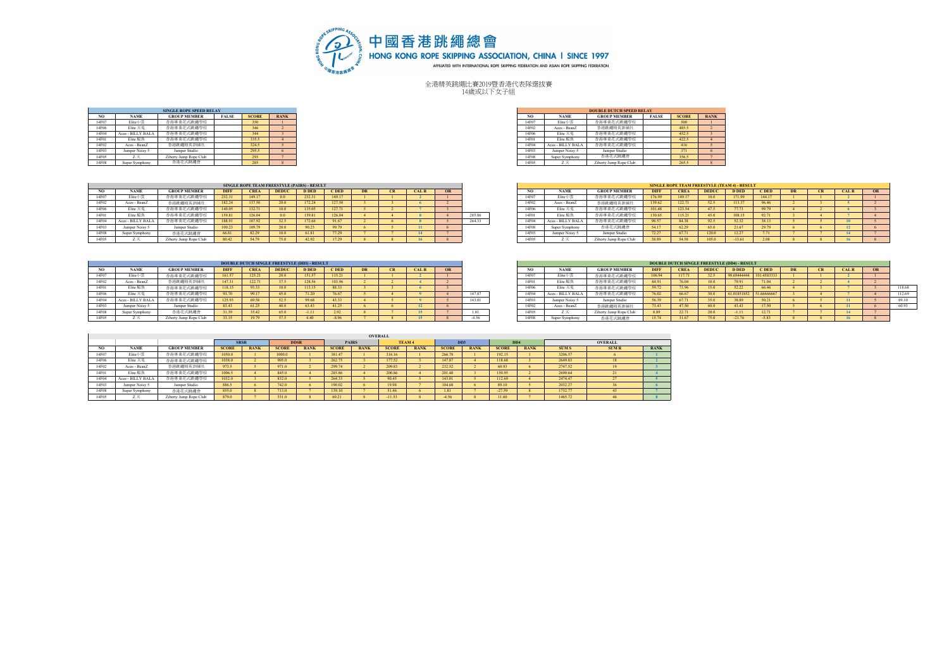

全港精英跳繩比賽2019暨香港代表隊選拔賽 14歲或以下女子組

|       |                   | <b>SINGLE ROPE SPEED RELAY</b> |              |              |                    |
|-------|-------------------|--------------------------------|--------------|--------------|--------------------|
| NO.   | <b>NAME</b>       | <b>GROUP MEMBER</b>            | <b>FALSE</b> | <b>SCORE</b> | <b>RANK</b>        |
| 14F07 | Elite小需           | 香港專業花式跳鑽學校                     |              | 350          |                    |
| 14F06 | Elite 天免          | 香港專業花式跳鑽學校                     |              | 346          |                    |
| 14F04 | Aces - BILLY BALA | 香港專業花式跳鑽學校                     |              | 344          |                    |
| 14F01 | Elite 鯨魚          | 香港專業花式跳鑽學校                     |              | 335.5        |                    |
| 14F02 | Aces - BeanZ      | 香港跳繩精英訓練社                      |              | 324.5        |                    |
| 14F03 | Jumper Noisy 5    | Jumper Studio                  |              | 295.5        |                    |
| 14F05 | 7.75              | Ziberty Jump Rope Club         |              | 293          |                    |
| 14F08 | Super Symphony    | 香港花式跳繹會                        |              | 285          | $\mathbf{\hat{x}}$ |

 $\sim$ 

|       |                   | <b>SINGLE ROPE SPEED RELAY</b> |              |              |             |
|-------|-------------------|--------------------------------|--------------|--------------|-------------|
| NO.   | <b>NAME</b>       | <b>GROUP MEMBER</b>            | <b>FALSE</b> | <b>SCORE</b> | <b>RANK</b> |
| 14F07 | Elite小需           | 香港專業花式跳鑼舉校                     |              | 350          |             |
| 14F06 | Elite 天免          | 香港專業花式跳鑼學校                     |              |              |             |
| 14F04 | Aces - BILLY BALA | 津專業花式跳鑼舉校                      |              | 344          |             |
| 14F01 | Elite 鯨魚          | 港專業花式跳鑼舉校                      |              | 335.5        |             |
| 14F02 | Aces - BeanZ      | 香港跳繩精英訓練社                      |              | 324.5        |             |
| 14F03 | Jumper Noisy 5    | Jumper Studio                  |              | 295.5        |             |
| 14F05 | <i>_</i>          | Ziberty Jump Rope Club         |              | 293          |             |
| 14F08 | Super Symphony    | 香港花式跳繩會                        |              | 285          |             |

|       |                     |                        |             |             | SINGLE ROPE TEAM FREESTYLE (PAIRS) - RESULT |              |            |           |              |    |        |       |                   |                        |             |             |              | <b>SINGLE ROPE TEAM FREESTYLE (TEAM 4) - RESULT</b> |             |           |              |    |
|-------|---------------------|------------------------|-------------|-------------|---------------------------------------------|--------------|------------|-----------|--------------|----|--------|-------|-------------------|------------------------|-------------|-------------|--------------|-----------------------------------------------------|-------------|-----------|--------------|----|
|       | <b>NAME</b>         | <b>GROUP MEMBER</b>    | <b>DIFF</b> | <b>CREA</b> | <b>DEDUC</b>                                | <b>D</b> DED | <b>CDE</b> | <b>DR</b> | <b>CAL R</b> | OR |        |       | <b>NAME</b>       | <b>GROUP MEMBER</b>    | <b>DIFF</b> | <b>CREA</b> | <b>DEDUC</b> | <b>D DED</b>                                        | <b>CDED</b> | <b>DR</b> | <b>CAL R</b> | OR |
| 14F07 | Elite/              | を法恵堂花式跡継祭校             | 232.31      | 149 17      | 0 <sub>0</sub>                              | 232.31       | 149 17     |           |              |    |        | 14F07 | Elite/            | 香港真堂花式詠編學校             | 176.99      | 149.17      | 100          |                                                     | 144 17      |           |              |    |
| 14F02 | Aces - BeanZ        | を港跳縄精英訓練を              | 182.24      | 137.50      | 20.0                                        | 172.24       | 127.50     |           |              |    |        | 14F02 | Aces - BeanZ      | 香港跳繩精英訓練社              | 139.62      | 122.71      | 52.5         | 113.37                                              | 96.46       |           |              |    |
| 14F06 | Elite 天 <sup></sup> | <b>专洪專業花式跳鑼學校</b>      | 140.05      | 132.71      | 10.0                                        | 135.05       | 127.71     |           |              |    |        | 14F06 | Elite 天夕          | 式跳纖舉校                  | 101.48      | 123.54      | 475          | 77 73                                               | 99.79       |           |              |    |
|       | Elite 鯨魚            | 大味细胞+                  | 159.81      | 126.04      | 0.0                                         | 159.81       | 126.04     |           |              |    | 285.86 | 14F01 | Elite 鯨魚          | 刘婴继续方                  | 130.65      | 115.21      | 45.0         |                                                     | 92.71       |           |              |    |
| 14F04 | Aces - BILLY BAL/   | 法真堂花式味细具校              | 188.91      | 107.02      | 32.5                                        | 172.66       | 91.67      |           |              |    | 264.33 | 14F04 | Aces - BILLY BALA | 外感能複方                  | 98.57       | 84 38       | 92.5         | 52.32                                               | 38.13       |           |              |    |
| 14F03 | Jumper Noisy "      | Jumper Studio          | 100.23      | 109.79      | 20.0                                        |              | 99.79      |           |              |    |        | 14F08 | Super Symphony    | 香港花式跳鑽會                | 54.17       | 62.29       | 65.0         | 21.67                                               | 29.79       |           |              |    |
|       | Super Symphony      | 香港花式跳鑼會                | 66.81       | 04.49       | 10.0                                        |              | 77.29      |           |              |    |        |       | Jumper Noisy      | amper Studio           | 72.27       | 67.71       | 120.0        | 12.27                                               |             |           |              |    |
|       | $\sim$              | Ziberty Jump Rope Club | 80.42       | 54.79       | 75.0                                        | 42.92        | 17.29      |           | 16           |    |        | 14F05 | $\sim$            | Ziberty Jump Rope Club | 38.89       | 54.58       | 105.0        | $-13.61$                                            | 2.08        |           |              |    |

|       |                            |                        |             |             | DOUBLE DUTCH SINGLE FREESTYLE (DD3) - RESULT |              |             |  |              |         |       |                   |                        |             | <b>DOUBLE DUTCH SINGLE FREESTYLE (DD4) - RESULT</b> |              |              |                |           |              |                 |
|-------|----------------------------|------------------------|-------------|-------------|----------------------------------------------|--------------|-------------|--|--------------|---------|-------|-------------------|------------------------|-------------|-----------------------------------------------------|--------------|--------------|----------------|-----------|--------------|-----------------|
|       | <b>NAME</b>                | <b>GROUP MEMBER</b>    | <b>DIFF</b> | <b>CREA</b> | <b>DEDUC</b>                                 | <b>D DED</b> | <b>CDED</b> |  | <b>CAL R</b> |         | NO.   | <b>NAME</b>       | <b>GROUP MEMBER</b>    | <b>DIFF</b> | <b>CREA</b>                                         | <b>DEDUC</b> | <b>D</b> DED | <b>CDED</b>    | <b>DR</b> | <b>CAL R</b> | $\overline{OR}$ |
| 14F07 | Elite小雪                    | 香港專業花式跳鑼舉校             | 161.57      | 125.21      | 20.0                                         | 151.57       | 115.21      |  |              |         | 14F07 | Elite小票           | 香港專業花式跳鑼舉校             | 106.94      | 117.71                                              | 32.5         | 90.69444444  |                |           |              |                 |
| 14F02 | Aces - BeanZ               | ☆ 洪跳 維持英訓練?            | 147.31      | 122.71      | 37.5                                         | 128.56       | 103.96      |  |              |         | 14F01 | Elite 鯨魚          | 香港專業花式跳繩學校             |             |                                                     | 10.0         | 79.91        | 71.04          |           |              |                 |
| 14F01 | Elite 鯨魚                   | 香港專業花式跳鑼舉校             | 118.15      |             | 10.0                                         | 113.15       | 88.33       |  |              |         | 14F06 | Elite 天垒          | 香港專業花式跳鑼舉校             | 59.72       |                                                     | 15.0         | 52.22        | 66.46          |           |              |                 |
| 14F06 | Elite 天兔                   | 香港專業花式跳鑼學校             |             | 99.17       | 45.0                                         |              | 76.67       |  |              | 147.87  | 14F04 | Aces - BILLY BALA | 斥涉專業花式跳繩舉校             | 76.02       | 66.67                                               | 30.0         | 61.01851852  | 51666666       |           |              |                 |
| 14F04 | Aces - BILLY BAL           | 香港專業花式跳鑼學校             | 125.93      |             | 52.5                                         | 99.68        | 43.33       |  |              | 143.01  | 14F03 | Jumper Noisy      | Jumper Studio          | 56.39       |                                                     | 35.0         | 38.89        | 50.21          |           |              |                 |
| 14F03 | Jumper Noisy. <sup>5</sup> | Jumper Studio          | 83.43       |             | 400                                          | 63.43        | 41.25       |  |              |         | 14F02 | Aces - BeanZ      | 香港跳鑼精英訓練社              | 73.43       |                                                     | 60.0         | 43.43        | 17.50          |           |              |                 |
| 14F08 | iper Symphony              | 香港花式跳鑼會                | 31.39       | 35.42       | 65.0                                         | $-1.11$      | 2.92        |  |              | 1.81    | 14F05 |                   | Ziberty Jump Rope Club | 8.89        | 22.1                                                | 20.0         | $-1.11$      | 10.01<br>12.11 |           |              |                 |
| 14F05 |                            | Ziberty Jump Rope Club | 33.15       |             | 57.5                                         |              | $-8.96$     |  |              | $-4.56$ | 14F08 | Super Symphom     | 香港花式跳鑼會                | 15.74       |                                                     | 75.0         | 21.76        | $-5.83$        |           |              |                 |

|       |                   |                        |             |             |              | <b>SINGLE ROPE TEAM FREESTYLE (TEAM 4) - RESULT</b> |             |           |           |             |                        |
|-------|-------------------|------------------------|-------------|-------------|--------------|-----------------------------------------------------|-------------|-----------|-----------|-------------|------------------------|
| NO.   | <b>NAME</b>       | <b>GROUP MEMBER</b>    | <b>DIFF</b> | <b>CREA</b> | <b>DEDUC</b> | <b>D DED</b>                                        | <b>CDED</b> | <b>DR</b> | <b>CR</b> | <b>CALR</b> | <b>OR</b>              |
| 14F07 | Elite小需           | 香港專業花式跳鑼學校             | 176.99      | 149.17      | 10.0         | 171.99                                              | 144.17      |           |           |             |                        |
| 14F02 | Aces - BeanZ      | 香港跳鐵精英訓練社              | 139.62      | 122.71      | 52.5         | 113.37                                              | 96.46       |           |           |             |                        |
| 14F06 | Elite 天兔          | 香港専業花式跳縄學校             | 101.48      | 123.54      | 47.5         | 77.73                                               | 99.79       |           |           |             |                        |
| 14F01 | Elite 鯨魚          | 香港專業花式跳鐵學校             | 130.65      | 115.21      | 45.0         | 108.15                                              | 92.71       |           |           |             |                        |
| 14F04 | Aces - BILLY BALA | 香港専業花式跳縄學校             | 98.57       | 84.38       | 92.5         | 52.32                                               | 38.13       |           |           | 10          |                        |
| 14F08 | Super Symphony    | 香港花式跳鑽會                | 54.17       | 62.29       | 65.0         | 21.67                                               | 29.79       | 6         |           | 12          | 6                      |
| 14F03 | Jumper Noisy 5    | Jumper Studio          | 72.27       | 67.71       | 120.0        | 12.27                                               | 771         |           |           | 14          |                        |
| 14F05 | Z天                | Ziberty Jump Rope Club | 38.89       | 54.58       | 105.0        | $-13.61$                                            | 2.08        |           |           | 16          | $\mathbf{\mathcal{R}}$ |

|      |                |                        |             |             |                   | DOUBLE DUTCH SINGLE FREESTYLE (DD3) - RESULT |             |  |              |    |         |       |                      |                        |              |             |              | <b>DOUBLE DUTCH SINGLE FREESTYLE (DD4) - RESULT</b> |             |           |             |          |        |
|------|----------------|------------------------|-------------|-------------|-------------------|----------------------------------------------|-------------|--|--------------|----|---------|-------|----------------------|------------------------|--------------|-------------|--------------|-----------------------------------------------------|-------------|-----------|-------------|----------|--------|
| NO   | <b>NAME</b>    | <b>GROUP MEMBER</b>    | <b>DIFF</b> | <b>CREA</b> | <b>DEDUC</b>      | <b>D DED</b>                                 | <b>CDED</b> |  | <b>CAL R</b> | OR |         | NO.   | <b>NAME</b>          | <b>GROUP MEMBER</b>    | <b>DIFF</b>  | <b>CREA</b> | <b>DEDUC</b> | <b>D DED</b>                                        | <b>CDED</b> | <b>DR</b> | <b>CALR</b> | $\alpha$ |        |
| 4F07 | Elite小票        | 香港專業花式跳鑼舉校             | 161.57      | 125.21      |                   | 151.57                                       | 115.21      |  |              |    |         | 14F07 | Elite小雪              | 香港專業花式跳纖學相             |              | 117.71      |              | 90.69444444                                         | 101.4583333 |           |             |          |        |
| 4F02 | Aces - BeanZ   | 进除清楚基础批                | 14731       | 122.71      |                   | 128.56                                       | 03.96       |  |              |    |         | 14F01 | Elite 鯨魚             | 香港専業花式跳繩學校             | <b>R4 91</b> | 76.04       |              | 79.91                                               |             |           |             |          |        |
| 4F01 | Elite 鯨魚       | 进真堂花式踏绳板               | 118.15      | 93.33       | 10.0 <sub>1</sub> | 113.15                                       | 88.33       |  |              |    |         | 14F06 | Elite 天 <sup>6</sup> | 香港專業花式跳繩學相             | CO TO        | 73.96       |              | 52.22                                               |             |           |             |          | 118.68 |
| 4F06 | Elite 天免       | 香港專業花式跳鑼學校             | 93.70       | 99.17       |                   | 71.20                                        | 76.67       |  |              |    | 147.87  | 14F04 | Aces - BILLY BAL     | 香港專業花式跳繩學校             | 76.02        | 66.67       |              | 61.01851852                                         | 51.6666666  |           |             |          | 112.69 |
| 4F04 | s - BILLY BALA | 香港專業花式跳鑼舉校             | 125.93      | 69.58       |                   | 99.68                                        | 43.33       |  |              |    | 143.01  | 14F03 | Jumper Noisy 5       | Jumper Studio          | 56.39        | 67.71       | 35.0         | 38.89                                               |             |           |             |          |        |
| 4F03 | mper Noisy 5   | Jumper Studio          | 83.43       | 61.25       |                   | 63.43                                        | 11.25       |  |              |    |         | 14F02 | Aces - BeanZ         | 香港跳繩精英訓練社              | 73.43        | 47.50       |              | 43.43                                               | 17.50       |           |             |          |        |
| 4F08 | ∵~ Symphony    | 香港花式跳鑽會                | 31.39       | 35.42       |                   | $-1.11$                                      |             |  |              |    | 1.81    | 14F05 | $\sim$               | Ziberty Jump Rope Club | 8.89         | 22.71       |              | $-1.11$                                             |             |           |             |          |        |
| 4F05 |                | Ziberty Jump Rope Club | 33.15       | 19.79       |                   |                                              |             |  |              |    | $-4.56$ | 14F08 | Super Symphony       | 香港花式跳鑽會                |              | 31.67       |              | $-21.76$                                            |             |           |             |          |        |

|       |                   |                        |              |             |              |             |              |              | <b>OVERALL</b> |             |                             |             |                 |             |              |                |             |
|-------|-------------------|------------------------|--------------|-------------|--------------|-------------|--------------|--------------|----------------|-------------|-----------------------------|-------------|-----------------|-------------|--------------|----------------|-------------|
|       |                   |                        | <b>SRSR</b>  |             |              | <b>DDSR</b> |              | <b>PAIRS</b> |                | TEAM 4      | D <sub>D</sub> <sub>3</sub> |             | DD <sub>4</sub> |             |              | <b>OVERALL</b> |             |
| NO.   | <b>NAME</b>       | <b>GROUP MEMBER</b>    | <b>SCORE</b> | <b>RANK</b> | <b>SCORE</b> | <b>RANK</b> | <b>SCORE</b> | <b>RANK</b>  | <b>SCORE</b>   | <b>RANK</b> | <b>SCORE</b>                | <b>RANK</b> | <b>SCORE</b>    | <b>RANK</b> | <b>SUM S</b> | <b>SUMR</b>    | <b>RANK</b> |
| 14F07 | Elite小需           | 香港專業花式跳鑼舉校             | 1050.0       |             | 1000.0       |             | 381.47       |              | 316.16         |             | 266.78                      |             | 192.15          |             | 3206.57      |                |             |
| 14F06 | Elite 天免          | 香港專業花式跳鑽學校             | 1038.0       |             | 905.0        |             | 262.75       |              | 177.52         |             | 147.87                      |             | 118.68          |             | 2649.83      | 18             |             |
| 14F02 | Aces - BeanZ      | 香港跳繩精英訓練社              | 973.5        |             | 971.0        |             | 299.74       |              | 209.83         |             | 232.52                      |             | 60.93           |             | 2747.52      | 19             |             |
| 14F01 | Elite 鯨魚          | 香港専業花式眺繩學校             | 1006.5       |             | 845.0        |             | 285.86       |              | 200.86         |             | 201.48                      |             | 150.95          |             | 2690.64      | 21             |             |
| 14F04 | Aces - BILLY BALA | 香港專業花式跳鑽學校             | 1032.0       |             | 832.0        |             | 264.33       |              | 90.45          |             | 143.01                      |             | 112.69          |             | 2474.47      | 27             |             |
| 14F03 | Jumper Noisy 5    | Jumper Studio          | 886.5        |             | 742.0        |             | 190.02       |              | 19.98          |             | 104.68                      |             | 89.10           |             | 2032.27      | 36             |             |
| 14F08 | Super Symphony    | 香港花式跳繹會                | 855.0        |             | 713.0        |             | 139.10       |              | 51.46          |             | 1.81                        |             | $-27.59$        |             | 1732.77      | 43             |             |
| 14F05 | $\sim$            | Ziberty Jump Rope Club | 879.0        |             | 531.0        |             | 60.21        |              | 41.53          |             | $-4.56$                     |             | 11.60           |             | 1465.72      | 46             |             |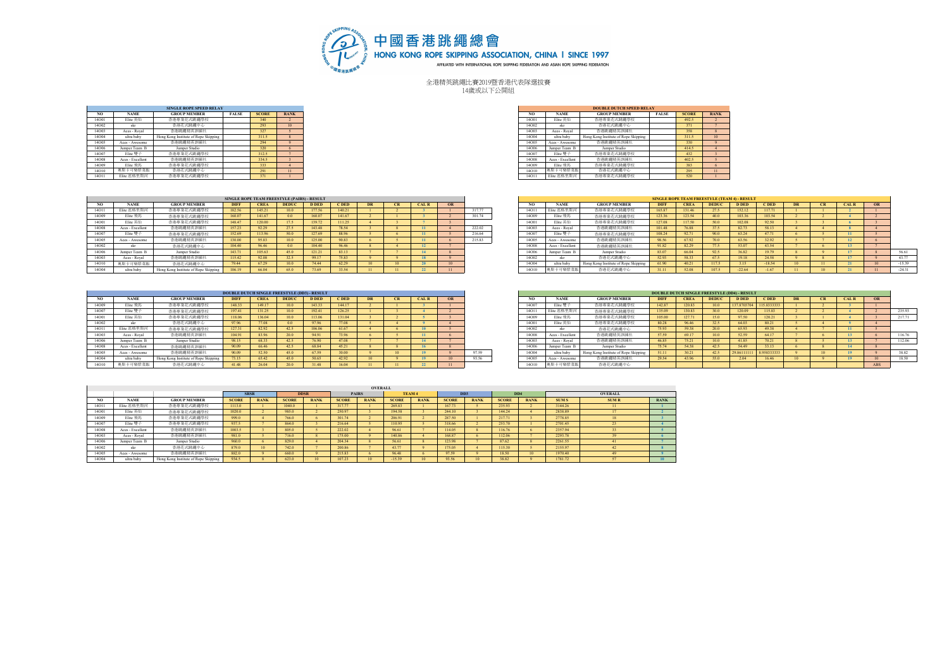

全港精英跳繩比賽2019暨香港代表隊選拔賽 14歲或以下公開組

|                     | <b>SINGLE ROPE SPEED RELAY</b>       |              |              |             |
|---------------------|--------------------------------------|--------------|--------------|-------------|
| <b>NAME</b>         | <b>GROUP MEMBER</b>                  | <b>FALSE</b> | <b>SCORE</b> | <b>RANK</b> |
| Elite 英仙            | 香港專業花式跳鑼舉校                           |              | 340          |             |
|                     | 香港花式跳繩中心                             |              | 293          |             |
| Aces - Royal        | 香港跳繩精英訓練社                            |              | 327          |             |
| ultra baby          | Hong Kong Institute of Rope Skipping |              | 311.5        |             |
| Aces - Awesome      | 香港跳繩精英訓練社                            |              | 294          |             |
| Jumper Team B       | Jumper Studio                        |              | 320          |             |
| Elite 等子            | 香港專業花式跳鑼舉校                           |              | 312.5        |             |
| Aces - Excellent    | 香港跳繩精英訓練社                            |              | 334.5        |             |
| Elite 飛馬            | 香港專業花式跳鑼舉校                           |              | 333          |             |
|                     | 奥斯卡可樂紫菜飯<br>香港花式跳鑼中心                 |              | 291          | 11          |
| This show in the or | 禾米市美花中味螺科坊                           |              | 271          |             |

|       |                  | <b>SINGLE ROPE SPEED RELAY</b>       |              |              |             |
|-------|------------------|--------------------------------------|--------------|--------------|-------------|
| NO.   | <b>NAME</b>      | <b>GROUP MEMBER</b>                  | <b>FALSE</b> | <b>SCORE</b> | <b>RANK</b> |
| 14001 | Elite 英仙         | 香港專業花式跳鑼舉校                           |              | 340          |             |
| 14002 | skr              | 香港花式跳織中心                             |              | 293          | 10          |
| 14003 | Aces - Royal     | 香港跳鑼精英訓練社                            |              | 327          |             |
| 14004 | ultra baby       | Hong Kong Institute of Rope Skipping |              | 311.5        |             |
| 14005 | Aces - Awesome   | 香港跳繩精英訓練社                            |              | 294          |             |
| 14006 | Jumper Team B    | Jumper Studio                        |              | 320          |             |
| 14007 | Elite 雙子         | 香港專業花式跳鑼學校                           |              | 312.5        |             |
| 14008 | Aces - Excellent | 香港跳縄精英訓練社                            |              | 3345         |             |
| 14009 | Elite 飛馬         | 香港專業花式跳鑼舉校                           |              | 333          |             |
| 14010 | 患斯卡可樂紫菜飯         | 香港花式跳纖中心                             |              | 291          |             |
| 14011 | Elite 底格里斯河      | 香港專業花式跳鑼學校                           |              | 371          |             |
|       |                  |                                      |              |              |             |

|       |                  |                                     |             |             | SINGLE ROPE TEAM FREESTYLE (PAIRS) - RESULT |              |        |    |       |                 |        |       |                  |                                     |             |             | <b>SINGLE ROPE TEAM FREESTYLE (TEAM 4) - RESULT</b> |              |          |                  |             |           |
|-------|------------------|-------------------------------------|-------------|-------------|---------------------------------------------|--------------|--------|----|-------|-----------------|--------|-------|------------------|-------------------------------------|-------------|-------------|-----------------------------------------------------|--------------|----------|------------------|-------------|-----------|
|       | <b>NAME</b>      | <b>GROUP MEMBER</b>                 | <b>DIFF</b> | <b>CREA</b> | <b>DEDUC</b>                                | <b>D DEL</b> | C DED  | DE | CAL R | OR              |        |       | <b>NAME</b>      | <b>GROUP MEMBER</b>                 | <b>DIFF</b> | <b>CREA</b> | <b>DEDUC</b>                                        | <b>D DED</b> | C DED    | DR.              | <b>CALR</b> | <b>OR</b> |
| 14011 | Elite 底格里斯河      | 香港專業花式跳鑼學校                          | 182.56      | 145.21      | 100                                         | 177.56       | 140.21 |    |       |                 | 317.77 | 14011 | Elite 底格里斯河      | 香港專業花式跳鑽學校                          | 165.87      | 131.46      |                                                     | 152.12       |          |                  |             |           |
| 14009 | Elite 飛馬         | 香港專業花式跳鑼學校                          | 160.07      | 141.67      |                                             | 160.07       | 141.67 |    |       |                 | 301.74 | 14009 | Elite 飛馬         | 香港專業花式跳鑼學校                          | 123.36      | 123.54      |                                                     | 103.36       | 103.54   |                  |             |           |
| 14001 | Elite 英仙         | 香港專業花式跳鑼學校                          | 148.47      | 120.00      | 175                                         | 139.72       | 111.25 |    |       |                 |        | 14001 | Elite 英仙         | 香港專業花式跳鑽學校                          | 127.08      | 117.50      |                                                     | 102.08       | 02.50    |                  |             |           |
| 14008 | Aces - Excellent | 香港跳鐵精英訓練社                           | 157.23      | 92.29       | 275                                         | 143.48       | 78.54  |    |       |                 | 222.02 | 14003 | Aces - Royal     | 香港跳縄精英訓練社                           | 101.48      | 76.88       |                                                     | 82.73        |          |                  |             |           |
| 14007 | Elite 等子         | 香港專業花式跳繩學校                          | 152.69      |             | 50.0                                        | 127.69       | 88.96  |    |       |                 | 216.64 | 14007 | Elite 等子         | 香港專業花式跳鑼舉校                          | 108.24      | 92.71       |                                                     | 63.24        | 47.71    |                  |             |           |
| 14005 | Aces - Awesome   | 香港跳繩精英訓練社                           | 130.00      | 95.8        | 100                                         | 125.00       | 90.83  |    |       |                 | 215.83 | 1400: | Aces - Awesome   | 香港跳縄精英訓練社                           | 98.56       | 67.92       |                                                     | 63.56        |          |                  |             |           |
| 14002 |                  | 香港花式跳織中心                            | 104.40      | 96.46       |                                             | 104.40       | 96.46  |    |       |                 |        | 1400  | Aces - Excellent | 香港跳縄精英訓練社                           | 91.82       | 82.29       |                                                     | 53.07        |          |                  |             |           |
| 14006 | Jumper Team B    | Jumper Studio                       | 143.71      | 105.63      |                                             | 121.21       | 83.13  |    |       |                 |        | 14006 | Jumper Team B    | Jumper Studio                       | 83.07       | 66.04       |                                                     | 36.82        |          |                  |             |           |
| 14003 | Aces - Royal     | 香港跳鑽精英訓練社                           | 115.42      | 92.08       |                                             | 99.17        | 75.83  |    |       |                 |        | 14002 | ska              | 香港花式跳鑽中心                            | 52.93       | 58.33       |                                                     | 19.18        |          |                  |             |           |
| 14010 | 患斯卡可樂紫菜飯         | 香港花式跳織中心                            | 79 44       | 67.29       | 100 <sub>0</sub>                            | 74 44        | 62.29  |    |       | 10 <sup>°</sup> |        | 14004 | ultra baby       | Hong Kong Institute of Rope Skippin | 51,00       | 40.21       | 117.5                                               | 3.15         | $-18.54$ | 10 <sup>10</sup> |             |           |
| 14004 | ultra baby       | Hong Kong Institute of Rope Skippin | 106.19      | 66.04       | 65.0                                        |              | 33.54  |    |       |                 |        | 14010 |                  | 香港花式跳鑽中心                            |             | 52.08       | 107.5                                               | $-22.64$     | 167      |                  |             |           |

|                 |                  |                                      |             |             | <b>DOUBLE DUTCH SINGLE FREESTYLE (DD3) - RESULT</b> |              |            |           |    |              |    |       |       |                  |                                      |             | <b>DOUBLE DUTCH SINGLE FREESTYLE (DD4) - RESULT</b> |              |              |             |    |              |     |
|-----------------|------------------|--------------------------------------|-------------|-------------|-----------------------------------------------------|--------------|------------|-----------|----|--------------|----|-------|-------|------------------|--------------------------------------|-------------|-----------------------------------------------------|--------------|--------------|-------------|----|--------------|-----|
| NO <sub>1</sub> | <b>NAME</b>      | <b>GROUP MEMBER</b>                  | <b>DIFF</b> | <b>CREA</b> | <b>DEDIIC</b>                                       | <b>D DED</b> | <b>DED</b> | <b>DR</b> | CR | <b>CAL R</b> | OR |       |       | <b>NAME</b>      | <b>GROUP MEMBER</b>                  | <b>DIFF</b> | <b>CREA</b>                                         | <b>DEDUC</b> | <b>D DED</b> | C DED       | DR | CAI, R       | OR  |
| 14009           | Elite 飛馬         | 香港真堂花式跡繼舉校                           | 148.33      | 149.17      | 10.0                                                | 143.33       | 144 17     |           |    |              |    |       | 14007 | Elite 雙子         | 香港東堂花式詠編學校                           | 142.87      | 120.83                                              |              | 137.870370   | 115.8333333 |    |              |     |
| 14007           | Elite 等子         | 香港真堂花式跡繼舉校                           | 197.41      | 131.25      | 10.0                                                | 192.41       | 126.25     |           |    |              |    |       | 1401  | Elite 底格里斯河      | 香港專業花式跳鑼學校                           | 135.09      | 130.83                                              |              | 120.09       | 115.83      |    |              |     |
| 14001           | Elite 英仙         | 香港專業花式跳鑼學校                           | 18.06       | 36.04       | 10.0 <sub>1</sub>                                   | 113.06       | 31.04      |           |    |              |    |       | 14009 | Elite 飛馬         | 香港專業花式跳鑽學校                           | 105.00      | 127.71                                              |              | 97.50        | 120.21      |    |              |     |
| 14002           | ski              | 香港花式跳鑼中心                             | 97.96       |             | 0 <sub>0</sub>                                      | 97.96        | 77.08      |           |    |              |    |       | 14001 | Elite 英仙         | 香港專業花式跳鑽學校                           | 80.28       | 96.46                                               |              | 64.03        |             |    |              |     |
| 14011           | Elite 底格里斯河      | 香港專業花式跳鑼舉校                           | 127.31      | 82.92       | 42.5                                                | 106.06       | 61.67      |           |    |              |    |       | 14002 |                  | 香港花式跳鑼中心                             | 75.93       | 59.38                                               |              | 65.93        | 49.38       |    |              |     |
| 14003           | Aces - Royal     | 香港跡疆辖英川建社                            | 104.91      | 83.96       | 20.0                                                | 94.91        | 73.96      |           |    |              |    |       | 14008 | Aces - Excellent | 香港跳縄精英訓練社                            | 57.59       | 69.17                                               |              | 52.59        | 64 17       |    |              |     |
| 14006           | Jumper Team E    | Jumper Studio                        | 98.15       | 68.33       | 42.5                                                | 76.90        | 47.08      |           |    |              |    |       | 14003 | Aces - Royal     | 香港除酒精英则铸社                            | 46.85       | 75.21                                               |              | 41.85        | 70.31       |    | $\mathbf{A}$ |     |
| 14008           | Aces - Excellent | 香港跡疆辖英川建社                            | 90.09       | 66.46       | 42.5                                                | 68.84        | 45.21      |           |    |              |    |       | 14006 | Jumper Team B    | Jumper Studio                        | 75.74       | 54.38                                               |              | 54.49        |             |    | 14           |     |
| 14005           | Aces - Awesome   | 香港跳鑼精英訓練社                            | 90.09       | 52.50       | 45.0                                                | 67.59        | 30.00      |           |    |              |    | 97.59 | 14004 | ultra baby       | Hong Kong Institute of Rope Skipping |             | 30.21                                               |              | 29.86111111  | 8958333333  |    |              |     |
| 14004           | ultra baby       | Hong Kong Institute of Rope Skipping | 73.15       | 65.42       | 45.0                                                | 50.65        | 42.92      |           |    |              |    | 93.56 | 14005 | Aces - Awesome   | 香港跳繩精英訓練社                            | 29.54       | 43.96                                               |              | 2.04         |             |    |              |     |
| 14010           | 出斯卡<br>下學 张 萃1   | 香港花式跡縄中心                             | 41.48       |             | 20.0                                                | 31.48        | 16.04      |           |    |              |    |       | 14010 | 可樂紫菜自            | 香港花式跳鑼中心                             |             |                                                     |              |              |             |    |              | ARS |

|       |                  |                                      | SINGLE ROPE TEAM FREESTYLE (PAIRS) - RESULT |             |                |              |        |    |              |        |        |       |                  |                                      |             | <b>SINGLE ROPE TEAM FREESTYLE (TEAM 4) - RESULT</b> |              |              |                  |           |             |    |          |
|-------|------------------|--------------------------------------|---------------------------------------------|-------------|----------------|--------------|--------|----|--------------|--------|--------|-------|------------------|--------------------------------------|-------------|-----------------------------------------------------|--------------|--------------|------------------|-----------|-------------|----|----------|
| NO.   | <b>NAME</b>      | <b>GROUP MEMBER</b>                  | <b>DIFF</b>                                 | <b>CREA</b> | <b>DEDUC</b>   | <b>D</b> DED | C DED  | CR | <b>CAL R</b> | OR     |        | NO.   | <b>NAME</b>      | <b>GROUP MEMBER</b>                  | <b>DIFF</b> | <b>CREA</b>                                         | <b>DEDUC</b> | <b>D DED</b> | <b>CDED</b>      | <b>DR</b> | <b>CALR</b> | OR |          |
| 14011 | Elite 底格里斯河      | 香港專業花式跳鑼舉校                           | 182.56                                      | 145.21      | 10.0           | 177.56       | 140.21 |    |              |        | 317.77 | 1401  | Elite 底格里斯河      | 香港專業花式跳鑽學校                           | 165.87      |                                                     | 27.5         | 152.12       | 11771            |           |             |    |          |
| 4009  | Elite 飛馬         | 香港專業花式跳繩學校                           | 160.07                                      | 141.67      |                | 160.07       | 141.67 |    |              |        | 301.74 | 14009 | Elite 飛馬         | 香港專業花式跳鑽學校                           | 123.36      |                                                     | 40.0         | 103.36       | 103.54           |           |             |    |          |
|       | Elite 英仙         | 香港專業花式跳鑼舉校                           | 148.47                                      | 120.00      |                | 139.72       | 111.25 |    |              |        |        | 1400  | Elite 英仙         | 香港專業花式跳鑽學校                           | 127.08      | 117.50                                              | 50.0         | 102.0        |                  |           |             |    |          |
| 14008 | Aces - Excellent | 香港跳鑼精英訓練社                            | 157.23                                      | 92.29       | 27.5           | 143.48       | 78.54  |    |              |        | 222.02 | 14003 | Aces - Royal     | 香港跳縄精英訓練社                            | 101.48      |                                                     |              | 82.73        | 58.13            |           |             |    |          |
| 14007 | Elite 等子         | 香港專業花式跳繩學校                           | 152.69                                      | 113.96      | 50.0           | 127.69       | 88.96  |    |              |        | 216.64 | 14007 | Elite 雙子         | 香港專業花式跳繩學校                           | 108.24      |                                                     | 90.0         | 63.24        | <b>ARCHITECT</b> |           |             |    |          |
| 14005 | Aces - Awesome   | 香港跳鑼精英訓練社                            | 130.00                                      |             | 10.0           | 125.00       | 90.83  |    |              |        | 215.83 | 1400: | Aces - Awesome   | 香港跳縄精英訓練社                            | 98.56       | (200)                                               | 70.0         |              |                  |           |             |    |          |
| 4002  | skr              | 香港花式跳繩中心                             | 104.40                                      | 96.46       | 0 <sub>0</sub> | 104.40       | 96.46  |    |              |        |        | 1400  | Aces - Excellent | 香港跳繩精英訓練社                            | 91.82       | 02.29                                               | 775          | £2.07        |                  |           | 13          |    |          |
| 14006 | Jumper Team B    | Jumper Studio                        | 143.7                                       | 105.63      | 450            | 121.21       | 83.13  |    |              |        |        | 14006 | Jumper Team      | Jumper Studio                        | 83.07       |                                                     | 92.5         |              |                  |           |             |    |          |
| 14003 | Aces - Royal     | 香港跳鑼精英訓練社                            | 115.42                                      |             | 32.5           | 99.17        | 75.83  |    |              |        |        | 14002 |                  | 香港花式跳鑼中心                             | 52.93       |                                                     | 67.5         |              |                  |           |             |    | 43 77    |
| 14010 | 奥斯卡可樂紫菜飯         | 香港花式跳織中心                             | 79 44                                       | 67.29       | 100            | 74 44        | 62.29  |    |              | $\sim$ |        | 14004 | ultra baby       | Hong Kong Institute of Rope Skipping | 61.90       |                                                     | 117.5        |              | $-18.54$         |           |             |    | $-15.39$ |
| 14004 | ultra baby       | Hong Kong Institute of Rope Skipping | 106.19                                      |             |                | 73.69        | 33.54  |    |              |        |        | 14010 | 卡可樂紫菜飯           | 香港花式跳鑼中心                             | 31.11       |                                                     |              |              |                  |           |             |    | $-24.31$ |

|       |                  |                                      |             |             |                | <b>DOUBLE DUTCH SINGLE FREESTYLE (DD3) - RESULT</b> |        |           |        |    |       |       |                  |                                      |             |             |              | <b>DOUBLE DUTCH SINGLE FREESTYLE (DD4) - RESULT</b> |           |  |             |            |
|-------|------------------|--------------------------------------|-------------|-------------|----------------|-----------------------------------------------------|--------|-----------|--------|----|-------|-------|------------------|--------------------------------------|-------------|-------------|--------------|-----------------------------------------------------|-----------|--|-------------|------------|
| NO.   | <b>NAME</b>      | <b>GROUP MEMBER</b>                  | <b>DIFF</b> | <b>CREA</b> | <b>DEDUC</b>   | <b>DED</b>                                          | C DED  | <b>DR</b> | CAI, R | OR |       |       | <b>NAME</b>      | <b>GROUP MEMBER</b>                  | <b>DIFF</b> | <b>CREA</b> | <b>DEDUC</b> | <b>D DED</b>                                        | C DED     |  | <b>CALR</b> | OR         |
| 4009  | Elite 飛馬         | 香港專業花式跳鑼舉校                           | 148.33      | 149.17      | 100            | 143.33                                              | 144.17 |           |        |    |       | 14007 | Elite 等子         | 香港專業花式跳鑼舉校                           | 142.87      | 120.83      | 10.0         | 127970270                                           | 158333333 |  |             |            |
| 4007  | Elite 等子         | 香港專業花式跳繩學校                           | 197.41      | 131.25      | 10.0           | 192.41                                              | 126.25 |           |        |    |       | 14011 | Elite 底格里斯河      | 香港專業花式跳縄學校                           | 135.09      | 130.83      | 30.0         | 120.09                                              | 115.83    |  |             |            |
| 14001 | Elite 英仙         | 香港專業花式跳鑼舉校                           | 118.06      | 136.04      | 10.0           | 113.06                                              | 131.04 |           |        |    |       | 14009 | Elite 飛馬         | 香港專業花式跳鑽學校                           | 105.00      | 127.71      | 15.0         | 97.50                                               | 120.21    |  |             |            |
| 14002 | skr              | 香港花式跳織中心                             | 97.96       | 77.08       | 0 <sub>0</sub> | 97.96                                               | 77.08  |           |        |    |       | 14001 | Elite 英仙         | 香港專業花式跳鑼舉校                           | 80.28       | 96.46       | 32.5         | 64.03                                               | 80.21     |  |             |            |
| 14011 | Elite 底格里斯河      | 香港専業花式跳縄學校                           | 127.31      | 82.92       |                | 106.06                                              | 61.67  |           |        |    |       | 14002 | skr              | 香港花式跳鑼中心                             | 75.93       | 59.38       | 20.0         |                                                     |           |  |             |            |
| 14003 | Aces - Royal     | 香港跡疆辖英川建社                            | 104.91      | 83.96       | 20.0           | 94.91                                               | 73.96  |           |        |    |       | 14008 | Aces - Excellent | 香港跳鐵精英面褲社                            | 57.59       | 69.17       | 10.0         | 52.59                                               | 64.17     |  |             |            |
| 14006 | Jumper Team B    | Jumper Studio                        | 98.15       | 68.33       |                | 76.90                                               | 47.08  |           |        |    |       | 14003 | Aces - Royal     | 香港跳繩精英訓練社                            | 46.85       | 75.21       | 10.0         | 41.85                                               | 70.21     |  |             |            |
| 14008 | Aces - Excellent | 香港跡護精英制練社                            | 90.09       | 66.46       |                | 68.84                                               | 45.21  |           |        |    |       | 14006 | mper Team        | Jumper Studio                        | 75.74       | 54.38       | 42.5         | 54.49                                               | 33.13     |  |             |            |
| 14005 | Aces - Awesome   | 香港跳鐵精英訓練社                            | 90.09       | 52.50       |                | 67.59                                               | 30.00  |           |        |    | 07.50 | 14004 | ultra baby       | Hong Kong Institute of Rope Skipping | 51.11       | 30.21       | 42.5         | 29.86111111                                         | 958333333 |  |             |            |
| 4004  | ultra baby       | Hong Kong Institute of Rope Skipping |             | 65.42       |                | 50.65                                               |        |           |        |    | 02.56 | 14005 | Aces - Awesome   | 香港跳繩精英訓練社                            | 29.54       | 43.96       | 55.0         | 204                                                 | 16.46     |  |             |            |
| 14010 |                  | 香港花式跳纖中心                             | 41 48       | 26.04       | 200            | 31.48                                               | 16.04  |           |        | 11 |       | 14010 | 可學悲萃             | 香港花式跳鑼中心                             |             |             |              |                                                     |           |  |             | <b>ARS</b> |

|       |                  |                                      |              |             |              |             |              | <b>OVERALL</b> |              |             |              |             |                 |             |             |                |             |
|-------|------------------|--------------------------------------|--------------|-------------|--------------|-------------|--------------|----------------|--------------|-------------|--------------|-------------|-----------------|-------------|-------------|----------------|-------------|
|       |                  |                                      | <b>SRSR</b>  |             | <b>DDSR</b>  |             |              | <b>PAIRS</b>   | TEAM 4       |             | DD3          |             | DD <sub>4</sub> |             |             | <b>OVERALL</b> |             |
| NO    | NAME.            | <b>GROUP MEMBER</b>                  | <b>SCORE</b> | <b>RANK</b> | <b>SCORE</b> | <b>RANK</b> | <b>SCORE</b> | <b>RANK</b>    | <b>SCORE</b> | <b>RANK</b> | <b>SCORE</b> | <b>RANK</b> | <b>SCORE</b>    | <b>RANK</b> | <b>SUMS</b> | <b>SUMR</b>    | <b>RANK</b> |
| 14011 | Elite 底格里斯河      | 香港專業花式跳鑼學校                           | 1113.0       |             | 1040.0       |             | 317.77       |                | 269.83       |             | 167.73       |             | 235.93          |             | 3144.26     | 11             |             |
| 14001 | Elite 英仙         | 香港專業花式跳繩學校                           | 1020.0       |             | 985.0        |             | 250.97       |                | 194.58       |             | 244.10       |             | 144.24          |             | 2838.89     |                |             |
| 14009 | Elite 飛馬         | 香港專業花式跳繩學校                           | 999.0        |             | 766.0        |             | 301.74       |                | 206.91       |             | 287.50       |             | 217.71          |             | 2778.85     |                |             |
| 14007 | Elite 雙子         | 香港專業花式跳鑼舉校                           | 937.5        |             | 864.0        |             | 216.64       |                | 110.95       |             | 318.66       |             | 253.70          |             | 2701.45     | 23             |             |
| 14008 | Aces - Excellent | 香港跳鑽精英訓練社                            | 1003.5       |             | 805.0        |             | 222.02       |                | 96.61        |             | 114.05       |             | 116.76          |             | 2357.94     | 33             |             |
| 14003 | Aces - Royal     | 香港跳繩精英訓練社                            | 981.0        |             | 716.0        |             | 175.00       |                | 40.86        |             | 168.87       |             | 112.06          |             | 2293.78     | 39             |             |
| 14006 | Jumper Team B    | Jumper Studio                        | 960.0        |             | 829.0        |             | 204.34       |                | 56.61        |             | 123.98       |             | 87.62           |             | 2261.55     | 41             |             |
| 14002 | skr              | 香港花式跳織中心                             | 879.0        | 10          | 742.0        |             | 200.86       |                | 43.77        |             | 175.05       |             | 115.30          |             | 2155.97     | 42             |             |
| 14005 | Aces - Awesome   | 香港跳鑽精英訓練社                            | 882.0        |             | 660.0        |             | 215.83       |                | 96.48        |             | 97.59        |             | 18.50           | $10-10$     | 1970.40     | 49             |             |
| 14004 | ultra baby       | Hong Kong Institute of Rope Skipping | 934.5        |             | 623.0        |             | 107.23       |                | 15.39        |             | 93.56        |             | 38.82           |             | 1781.72     | 57             | 10          |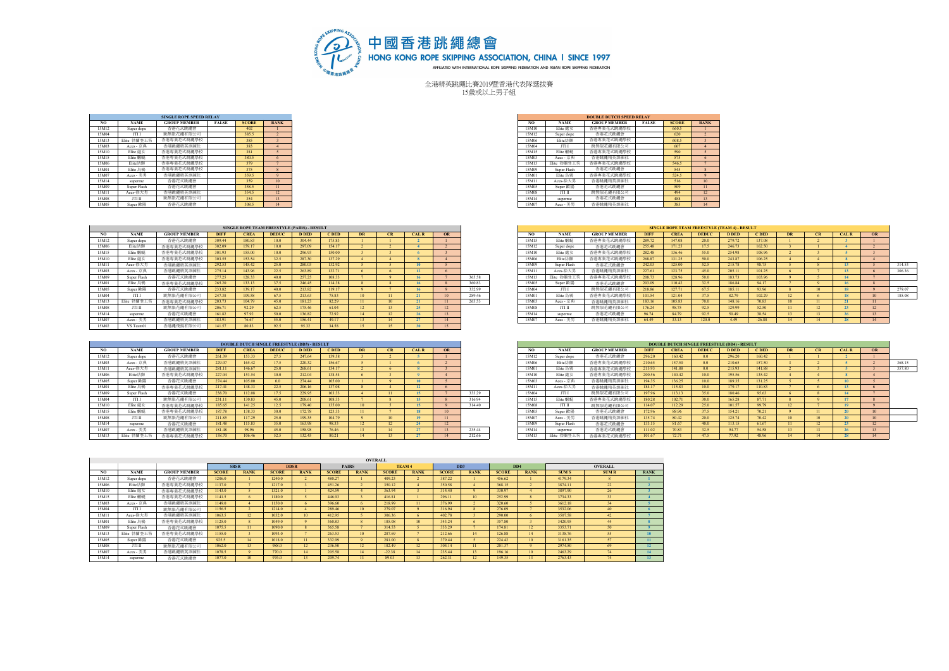

全港精英跳繩比賽2019暨香港代表隊選拔賽 15歲或以上男子組

|       |             | <b>SINGLE ROPE SPEED RELAY</b> |              |              |                         |
|-------|-------------|--------------------------------|--------------|--------------|-------------------------|
| NO.   | <b>NAME</b> | <b>GROUP MEMBER</b>            | <b>FALSE</b> | <b>SCORE</b> | <b>RANK</b>             |
| 15M12 | Super dope  | 香港花式跳鑼會                        |              | 402          |                         |
| 15M04 | JTI I       | 跳無限花織有限公司                      |              | 385.5        | $\overline{2}$          |
| 15M13 | Elite 勃蘭登王笏 | 香港專業花式跳鑼舉校                     |              | 385          | $\overline{\mathbf{3}}$ |
| 15M03 | Aces - 京典   | 香港跳鑼精英訓練社                      |              | 383          | $\overline{4}$          |
| 15M10 | Elite   読女  | 香港專業花式跳繩學校                     |              | 381          | $\overline{5}$          |
| 15M15 | Elite 蝦蚯    | 香港專業花式跳鑼舉校                     |              | 380.5        | 6                       |
| 15M06 | Elite幼狮     | 香港專業花式跳鑼舉校                     |              | 379          | $7\phantom{.0}$         |
| 15M01 | Elite 烏鴉    | 香港專業花式跳鑼舉校                     |              | 375          | $\mathbf{\hat{R}}$      |
| 15M07 | Aces - 美男   | 香港跳鑼精英訓練社                      |              | 359.5        | $\mathbf Q$             |
| 15M14 | superme     | 香港花式跳纖會                        |              | 359          | 10                      |
| 15M09 | Super Flash | 香港花式跳纖會                        |              | 358.5        | $\mathbf{H}$            |
| 15M11 | Aces-徐大男    | 香港跳鑼精英訓練社                      |              | 354.5        | 12                      |
| 15M08 | JTI II      | 跳無限花細有限公司                      |              | 354          | 13                      |
| 15M05 | Super 歐陽    | 香港花式跳鑼會                        |              | 308.5        | 14                      |

|       |             | <b>SINGLE ROPE SPEED RELAY</b> |              |              |              |
|-------|-------------|--------------------------------|--------------|--------------|--------------|
| NO.   | <b>NAME</b> | <b>GROUP MEMBER</b>            | <b>FALSE</b> | <b>SCORE</b> | <b>RANK</b>  |
| 15M12 | Super dope  | 香港花式跳鑼會                        |              | 402          |              |
| 15M04 | JTI I       | 跳無限花細有限公司                      |              | 385.5        |              |
| 15M13 | Elite 勃蘭登王笏 | 香港專業花式跳繩學校                     |              | 385          |              |
| 15M03 | Aces - 京典   | 香港跳鑼精英訓練社                      |              | 383          |              |
| 15M10 | Elite 歳女    | 香港專業花式跳繩學校                     |              | 381          |              |
| 15M15 | Elite 蝦蚯    | 香港專業花式跳繩學校                     |              | 380.5        |              |
| 15M06 | Elite幼额     | 香港專業花式跳繩學校                     |              | 379          |              |
| 15M01 | Elite 烏鴉    | 香港專業花式跳繩學校                     |              | 375          |              |
| 15M07 | Aces - 美男   | 香港跳纖精英訓練社                      |              | 359.5        |              |
| 15M14 | superme     | 香港花式跳繩會                        |              | 359          | $10-10$      |
| 15M09 | Super Flash | 香港花式跳繩會                        |              | 358.5        | $\mathbf{H}$ |
| 15M11 | Aces-徐大男    | 香港跳鑼精英訓練社                      |              | 354.5        | 12           |
| 15M08 | JTI II      | 跳無限花繩有限公司                      |              | 354          | $13-13$      |
| 15M05 | Super 歐陽    | 香港花式跳纖會                        |              | 308.5        | 14           |

|       |             |                     |             |             |              | SINGLE ROPE TEAM FREESTYLE (PAIRS) - RESULT |        |    |              |    |        |       |             |                     |             |             |              | <b>SINGLE ROPE TEAM FREESTYLE (TEAM 4) - RESULT</b> |          |           |      |             |  |
|-------|-------------|---------------------|-------------|-------------|--------------|---------------------------------------------|--------|----|--------------|----|--------|-------|-------------|---------------------|-------------|-------------|--------------|-----------------------------------------------------|----------|-----------|------|-------------|--|
|       | <b>NAME</b> | <b>GROUP MEMBER</b> | <b>DIFF</b> | <b>CREA</b> | <b>DEDUC</b> | <b>D</b> DED                                | C DED  | CR | <b>CAL R</b> | OR |        |       | <b>NAME</b> | <b>GROUP MEMBER</b> | <b>DIFF</b> | <b>CREA</b> | <b>DEDUC</b> | <b>D DED</b>                                        | C DED    | <b>DR</b> | CR   | <b>CALR</b> |  |
| 15M12 | Super dope  | 香港花式跳縄會             | 309.44      | 180.83      |              | 304.44                                      | 175.83 |    |              |    |        | 15M15 | Elite 蝦彭    | 香港專業花式跳繩學校          | 289.72      | 147.08      | 20.0         | 279.72                                              | 137.08   |           |      |             |  |
| 15M06 | Elite幼猴     | 香港專業花式跳繩學校          | 302.09      | 159.17      | 10.0         | 297.09                                      | 154.17 |    |              |    |        | 15M12 | Super dope  | 香港花式跳繩會             | 255.48      | 171.25      |              | 246.73                                              | 162.50   |           |      |             |  |
| 15M15 | Elite 蝦蚯    | 香港專業花式跳繩學校          | 301.93      | 155.00      |              | 296.93                                      | 150.00 |    |              |    |        | 15M10 | Elite   読女  | 香港專業花式跳繩學校          | 282.48      | 136.46      | 55.0         | 254.98                                              | 108.96   |           |      |             |  |
| 15M10 | Elite 歳女    | 香港專業花式跳繩學校          | 303.55      | 153.54      | 32.5         | 287.30                                      | 137.29 |    |              |    |        | 15M06 | Elite幼劉     | 香港專業花式跳繩學校          | 268.87      | 131.25      | 50.0         | 243.87                                              | 106.25   |           |      |             |  |
| 15M11 | Aces-徐大男    | 香港跳繩精英訓練社           | 292.53      | 145.42      | 25.0         | 280.03                                      | 132.92 |    | 3.00         |    |        | 15M09 | Super Flash | 香港花式跳繩會             | 242.03      | 125.00      | 52.5         | 215.78                                              | 98.75    |           |      |             |  |
| 15M03 | Aces - 京典   | 香港跳繩精英訓練社           | 275.14      | 143.96      | 22.5         | 263.89                                      | 132.71 |    | 12           |    |        | 15M11 | Aces-徐大男    | 计编址存储编辑者            | 227.61      | 123.75      | 45.0         | 205.11                                              | 101.25   |           |      |             |  |
| 15M09 | Super Flash | 香港花式跳縄會             | 277.25      | 128.33      | 40.0         | 257.25                                      | 108.33 |    |              |    | 365.58 | 15M13 | Elite 勃蘭登王笏 | 香港專業花式跳鑼學校          | 208.73      | 128.96      | 50.0         | 183.73                                              | 103.96   |           |      |             |  |
| 15M01 | Elite 烏鴉    | 香港專業花式跳繩學校          | 265.20      | 133.13      |              | 246.45                                      | 114.38 |    |              |    | 360.83 | 15M05 | Super 歐陽    | 香港花式跳鑼會             | 203.09      | 110.42      |              | 186.84                                              | 94.17    |           |      |             |  |
| 15M05 | Super 歐陽    | 香港花式跳縄會             | 233.82      | 139.17      | 400          | 213.82                                      | 119.17 |    |              |    | 332.99 | 15M04 | JTI I       | 跳無限花繩有限公司           | 218.86      | 127.71      | 675          | 185.11                                              | 93.96    |           | 10   | 18          |  |
| 15M04 | JTII        | 跳無限花纖有限公司           | 247.38      | 109.58      |              | 213.63                                      | 75.83  |    |              |    | 289.46 | 15M01 | Elite 烏鴉    | 香港專業花式跳繩學校          | 101.54      | 121.04      |              | 82.79                                               | 102.29   |           |      | 18          |  |
| 15M13 | Elite 勃蘭登王笏 | 香港專業花式跳繩學校          | 203.73      | 104.79      | 45.0         | 181.23                                      | 82.29  |    |              |    | 263.53 | 15M03 | Aces - 京典   | 香港跳繩精英訓練社           | 183.16      | 105.83      | 70.0         | 148.16                                              | 70.83    |           |      |             |  |
| 15M08 | JTI II      | 跳無限花繩有限公司           | 206.71      | 92.29       |              | 175.46                                      | 61.04  |    | 25           |    |        | 15M08 | JTI II      | 跳無限花繩有限公司           | 176.24      | 98.75       | 92.5         | 129.99                                              | 52.50    |           | 12   |             |  |
| 15M14 | superme     | 香港花式跳繩會             | 161.82      | 97.92       | 50.0         | 136.82                                      | 72.92  |    |              |    |        | 15M14 | superme     | 香港花式跳繩會             | 96.74       | 84.79       | 92.5         | 50.49                                               | 38.54    |           |      |             |  |
| 15M07 | Aces - 美男   | 香港跳鑼精英訓練社           | 183.91      | 76.67       |              | 156.41                                      | 49.17  |    | $27^{1}$     |    |        | 15M07 | Aces - 美男   | 香港跳繩精英訓練社           | 64.49       | 33.13       | 120.0        | 4.49                                                | $-26.88$ |           | - 14 |             |  |
| 15M02 | VS Team01   | 香港纖飛揚有限公司           | 141.57      | 80.83       |              | 95.32                                       | 34.58  |    |              |    |        |       |             |                     |             |             |              |                                                     |          |           |      |             |  |

| <b>NAME</b> | <b>GROUP MEMBER</b> | <b>DIFF</b> | <b>CREA</b> | <b>DEDUC</b>     | <b>D</b> DED | <b>CDED</b> |                                             | CR | <b>CALR</b> |        | NO.   | <b>NAME</b> | <b>GROUP MEMBE</b> | <b>DIFF</b> |        | <b>DEDUC</b> | <b>D DED</b> | <b>C</b> DED | DR.                                                 | <b>CR</b> | <b>CALR</b> |        |
|-------------|---------------------|-------------|-------------|------------------|--------------|-------------|---------------------------------------------|----|-------------|--------|-------|-------------|--------------------|-------------|--------|--------------|--------------|--------------|-----------------------------------------------------|-----------|-------------|--------|
| Super dope  | 香港花式跳鑼會             | 309.44      | 180.83      |                  | 304.44       | 175.83      |                                             |    |             |        | 15M15 | Elite 蝦蚯    | 香港專業花式跳鑼學          | 289.72      | 147.08 | 20.0         | 279.72       | 137.08       |                                                     |           |             |        |
| Elite幼猫     | 香港專業花式跳繩學校          | 302.09      | 159.17      | 100 <sub>0</sub> | 297.09       | 154.17      |                                             |    |             |        | 15M12 | Super dope  | 香港花式跳鑼會            | 255.48      | 171.25 | 17.5         | 246.73       | 162.50       |                                                     |           |             |        |
| Elite 蝦艇    | 香港專業花式跳繩學校          | 301.93      | 155.00      |                  | 296.93       | 150.00      |                                             |    |             |        | 15M10 | Elite 處女    | 香港車業花式跳繩學相         | 282.48      |        | 55.0         | 254.98       | 108.96       |                                                     |           |             |        |
| Elite 歳女    | 香港專業花式跳繩學校          | 303.55      | 153.54      | 32.5             | 287.30       | 137.29      |                                             |    |             |        | 15M06 | Elite幼猫     | 香港專業花式跳繩學          | 268.87      | 131.25 | 50.0         | 243.87       | 106.25       |                                                     |           |             |        |
| Aces-徐大男    | 香港跳鑼精英訓練社           | 292.53      | 145.42'     | 25.0             | 280.03       | 132.92      |                                             |    |             |        | 15M09 | Super Flash | 香港花式跳鑼會            | 242.03      | 125.00 | 52.5         | 215.78       | 98.75        |                                                     |           |             | 314.53 |
| Aces - 京典   | 香港跳繩精英訓練社           | 275.14      | 143.96      | 22.5             | 263.89       | 132.71      |                                             |    |             |        | 15M11 | Aces-徐大昊    | 香港跳繩精英訓練           | 227.61      | 123.75 | 45.0         | 205.11       |              |                                                     |           |             | 306.36 |
| Super Flash | 香港花式跳鑼會             | 277.25      | 128.33      | 40.0             | 257.25       | 108.33      |                                             |    |             | 365.58 | 15M13 | Elite 勃蘭登王  | 香港專業花式跳繩學          | 208.73      | 128.96 | 50.0         | 183.73       | 103.96       |                                                     |           |             |        |
| Elite 烏里    | 香港專業花式跳繩學校          | 265.20      | 133.13      | 37.5             | 246.45       | 114.38      |                                             |    |             | 360.83 | 15M05 | Super 歐陽    | 香港花式跳繩會            | 203.09      | 110.42 | 32.5         | 186.84       | 94.17        |                                                     |           |             |        |
| Super 歐陽    | 香港花式跳纖會             | 233.82      | 139.17      | 40.0             | 213.82       | 119.17      |                                             |    |             | 332.99 | 15M04 | JTI I       | 跳無限花繩有限公司          | 218.86      | 127.71 | 67.5         | 185.11       | 93.96        |                                                     |           |             | 279.07 |
| JTI I       | 跳無限花繩有限公            | 247.38      | 109.58      | 67.5             | 213.63       | 75.83       |                                             |    |             | 289.46 | 15M01 | Elite 烏鴉    | 香港專業花式跳繩學          | 101.54      |        | 37.5         | 82.79        | 102.29       |                                                     |           |             | 185.08 |
| Elite 勃蘭登王笏 | 香港專業花式跳繩學校          | 203.73      | 104.79      | 45.0             | 181.23       | 82.29       |                                             |    |             | 263.53 | 15M03 | Aces - 京典   | 香港跳繩精英訓練社          | 183.16      |        | 70.0         | 148.16       | 70.83        |                                                     |           |             |        |
| ЛП          | 跳無限花繩有限公            | 206.71      |             | 62.5             | 175.46       | 61.04       |                                             |    |             |        | 15M08 | JTI II      | 跳無限花繩有限公司          | 176.24      | 98.75  | 92.5         | 129.99       | 52.50        |                                                     |           | <b>AN</b>   |        |
| superme     | 香港花式跳纖會             | 161.82      | 97.92       | 50.0             | 136.82       | 72.92       |                                             |    |             |        | 15M14 | superme     | 香港花式跳鑼會            | 96.74       | 84.79  | 92.5         | 50.49        | 38.54        |                                                     |           |             |        |
| Aces - 美男   | 香港跳纖精英訓練社           | 183.91      |             | 55.0             | 156.41       | 49 17       |                                             |    |             |        | 15M07 | Aces - 美男   | 香港跳繩精英訓練社          | 64.49       |        | 120.0        | 449          | $-26.88$     |                                                     |           |             |        |
|             |                     |             |             |                  |              |             | SINGLE ROPE TEAM FREESTYLE (PAIRS) - RESULT |    |             |        |       |             |                    |             |        |              |              |              | <b>SINGLE ROPE TEAM FREESTYLE (TEAM 4) - RESULT</b> |           |             |        |

|       |             |                    |             | <b>DOUBLE DUTCH SINGLE FREESTYLE (DD3) - RESULT</b> |                |              |        |           |    |              |        |       |             |                     |             | <b>DOUBLE DUTCH SINGLE FREESTYLE (DD4) - RESULT</b> |                  |              |        |           |           |             |    |
|-------|-------------|--------------------|-------------|-----------------------------------------------------|----------------|--------------|--------|-----------|----|--------------|--------|-------|-------------|---------------------|-------------|-----------------------------------------------------|------------------|--------------|--------|-----------|-----------|-------------|----|
|       | <b>NAME</b> | <b>GROUP MEMBE</b> | <b>DIFF</b> | <b>CREA</b>                                         | <b>DEDUC</b>   | <b>D</b> DED | C DED  | <b>DR</b> | CR | <b>CAL R</b> |        |       | <b>NAME</b> | <b>GROUP MEMBER</b> | <b>DIFF</b> | <b>CREA</b>                                         | <b>DEDUC</b>     | <b>D DED</b> | C DED  | <b>DR</b> | <b>CR</b> | <b>CALR</b> | OR |
| 15M12 | Super dope  | 香港花式跳鑼會            | 261.39      | 153.33                                              |                | 247.64       | 139.58 |           |    |              |        | 15M12 | Super dope  | 香港花式跳鑼會             | 296.20      | 160.42                                              |                  | 296.20       | 160.42 |           |           |             |    |
| 15M03 | Aces - 京典   | 香港跳鑼精英訓練社          | 229.07      | 165.42                                              |                | 220.32       | 156.67 |           |    |              |        | 15M06 | Elite幼猫     | 香港專業花式跳鑼學校          | 210.65      | 157.50                                              | 0.0 <sub>1</sub> | 210.65       | 157.50 |           |           |             |    |
| 15M11 | Aces-徐大男    | 香港跳鑼精英訓練社          | 281.11      | 146.67                                              | 25.0           | 268.61       | 134.17 |           |    |              |        | 15M01 | Elite 烏鴉    | 香港專業花式跳繩學校          | 215.93      | 141.88                                              | 0.0 <sub>1</sub> | 215.93       | 141.88 |           |           |             |    |
| 15M06 | Elite幼狗     | 香港專業花式跳繩學杉         | 227.04      | 153.54                                              |                | 212.04       | 138.54 |           |    |              |        | 15M10 | Elite   読女  | 香港專業花式跳繩學校          | 200.56      | 140.42                                              | 10.0             | 195.56       | 135.42 |           |           |             |    |
| 15M05 | Super 歐陽    | 香港花式跳繩會            | 274 44      | 105.00                                              | 0 <sub>0</sub> | 274.44       | 105.00 |           |    |              |        | 15M03 | Aces - 京典   | 香港跳繩精英訓練社           | 194.35      | 136.25                                              | 100 <sub>0</sub> | 189.35       | 131.25 |           |           |             |    |
| 15M0  | Elite 烏圈    | 香港專業花式跳鑼學校         | 217.41      | 148.33                                              | 22.5           | 206.16       | 137.08 |           |    |              |        | 15M1  | Aces-徐大男    | 香港跳繩精英訓練社           | 184.17      | 115.83                                              | 10.0             | 179.17       | 110.83 |           |           |             |    |
| 15M09 | Super Flash | 香港花式跳鑼會            | 238.70      | 112.08                                              |                | 229.95       | 103.33 |           |    |              | 333.29 | 15M04 | JTI I       | 跳無限花繩有限公司           | 197.96      | 113.13                                              | 35.0             | 180.46       | 95.63  |           |           |             |    |
| 15M04 | JTI I       | 跳無限花纖有限公司          | 231.11      | 130.83                                              | $450 -$        | 208.61       | 108.33 |           |    |              | 316.94 | 15M15 | Elite 蝦蚯    | 香港專業花式跳繩學校          | 180.28      | 102.71                                              | 30.0             | 165.28       | 8771   |           |           | $\sim$      |    |
| 15M10 | Elite 歳も    | 香港專業花式跳繩學校         | 185.65      | 141.25                                              |                | 179.40       | 135.00 |           |    |              | 314.40 | 15M08 | ЛТІ ІІ      | 跳無限花繩有限公司           | 114.07      | 112.29                                              | 25.0             | 101.57       | 99.79  |           |           |             |    |
| 15M15 | Elite 蝦藍    | 香港專業花式跳繩學校         | 187.78      | 138.33                                              |                | 172.78       | 123.33 |           |    |              |        | 15M05 | Super 歐陽    | 香港花式跳鑼會             | 172.96      | 88.96                                               |                  | 154.21       | 70.21  |           |           |             | 10 |
| 15M08 | JTI II      | 跳無限花纖有限公司          | 211.85      | 117.29                                              | 25.0           | 199.35       | 104.79 |           |    |              |        | 15M07 | Aces - 美男   | 香港跳繩精英訓練社           | 135.74      | 80.42                                               | 20.0             | 125.74       | 70.42  |           |           |             |    |
| 15M14 | superme     | 香港花式跳鑼會            | 181.48      | 115.83                                              |                | 163.98       | 98.33  |           |    |              |        | 15M09 | Super Flash | 香港花式跳鑼會             | 133.15      | 81.67                                               | 40.0             | 113.15       | 61.67  |           |           |             |    |
| 15M07 | Aces - 美男   | 香港跳纖精英訓練社          | 181.48      | 98.96                                               | $450 -$        | 158.98       | 76.46  |           |    | 27           | 235.44 | 15M14 | superme     | 香港花式跳鑼會             | 111.02      | 70.83                                               |                  | 94 77        | 54.58  |           |           |             |    |
| 15M13 | Elite       | 式跡締役札              | 158.70      | 106.46                                              |                | 132.45       | 80.21  |           |    | 27           | 212.66 | 15M13 |             | 香港專業花<br>式跳繩學校      | 101.67      | 72.71                                               |                  | 77.92        | 48.96  |           | - 14      |             |    |

|       |             |                     |             |             | <b>DOUBLE DUTCH SINGLE FREESTYLE (DD3) - RESULT</b> |              |        |           |    |             |    |        |       |             |                     |             | <b>DOUBLE DUTCH SINGLE FREESTYLE (DD4) - RESULT</b> |                  |              |        |           |             |        |
|-------|-------------|---------------------|-------------|-------------|-----------------------------------------------------|--------------|--------|-----------|----|-------------|----|--------|-------|-------------|---------------------|-------------|-----------------------------------------------------|------------------|--------------|--------|-----------|-------------|--------|
| NO.   | <b>NAME</b> | <b>GROUP MEMBER</b> | <b>DIFF</b> | <b>CREA</b> | <b>DEDUC</b>                                        | <b>D</b> DED | C DED  | <b>DR</b> | CR | <b>CALR</b> | OR |        | NO.   | <b>NAME</b> | <b>GROUP MEMBER</b> | <b>DIFF</b> | <b>CREA</b>                                         | <b>DEDUC</b>     | <b>D</b> DED | C DED  | <b>CR</b> | <b>CALR</b> |        |
| 15M12 | Super dope  | 香港花式跳纖會             | 261.39      |             | 275                                                 | 247.64       | 139.58 |           |    |             |    |        | 15M12 | Super dope  | 香港花式跳鑼會             | 296.20      | 160.42                                              | 00               | 296.20       | 160.42 |           |             |        |
| 15M03 | Aces - 京典   | 香港跳纖精英訓練社           | 229.07      | 165.42      | 17.5                                                | 220.32       | 156.67 |           |    |             |    |        | 15M06 | Elite幼拳     | 香港專業花式跳繩學           | 210.65      | 157.50                                              | 0 <sub>0</sub>   | 210.65       | 157.50 |           |             | 368.15 |
| 15M11 | Aces-徐大男    | 香港跳鑼精英訓練社           | 281.11      | 146.67      | 25.0                                                | 268.61       | 134.17 |           |    |             |    |        | 15M01 | Elite 烏廻    | 香港專業花式跳鑼學校          | 215.93      |                                                     | 00               | 215.93       | 141.88 |           |             | 357.80 |
| 5M06  | Elite幼猫     | 香港專業花式跳繩學校          | 227.04      |             | 30.0                                                | 212.04       | 138.54 |           |    |             |    |        | 15M10 | Elite 歳女    | 香港專業花式跳鑼學校          | 200.56      | 140.42                                              | 100 <sub>0</sub> | 195.56       | 135.42 |           |             |        |
| 15M05 | Super 歐陽    | 香港花式跳纖會             | 274.44      | 105.00      | 0.0                                                 | 274.44       | 105.00 |           |    |             |    |        | 15M03 | Aces - 京典   | 香港跳繩精英訓練社           | 194.35      | 136.25                                              | 10.0             | 189.35       | 131.25 |           |             |        |
| 5M01  | Elite 烏里    | 香港專業花式跳繩學           | 217.41      | 148.33      | 22.5                                                | 206.16       | 137.08 |           |    |             |    |        | 15M11 | Aces-徐大男    | 香港跳繩精英訓練社           | 184 17      | 115.83                                              | 100 <sub>0</sub> | 179.17       | 110.83 |           |             |        |
| 5M09  | Super Flash | 香港花式跳纖會             | 238.70      | 112.08      | 17.5                                                | 229.95       | 103.33 |           |    |             |    | 333.29 | 15M04 | JTI I       | 跳無限花繩有限公司           | 197.96      |                                                     | 35.0             | 180.46       | 95.63  |           |             |        |
| 5M04  | JTI I       | 跳無限花繩有限公            | 231.11      | 130.83      | 45.0                                                | 208.61       | 108.33 |           |    |             |    | 316.94 | 15M15 | Elite 蝦艇    | 香港專業花式跳鑼學校          | 180.28      | 102.71                                              | 30.0             | 165.28       | 87.71  |           |             |        |
| 5M10  | Elite 歳女    | 香港專業花式跳繩學校          | 185.65      | 141.25      | 12.5                                                | 179.40       | 135.00 |           |    |             |    | 314.40 | 15M08 | JTI II      | 跳無限花繩有限公            | 114.07      |                                                     | 25.0             | 101.57       | 99.79  |           |             |        |
| 15M15 | Elite 蝦艇    | 香港專業花式跳繩學校          | 187.78      |             | 30.0                                                | 172.78       | 123.33 |           |    |             |    |        | 15M05 | Super 歐陽    | 香港花式跳繩會             | 172.96      | 88.96                                               | 375              | 154.21       | 70.21  |           |             |        |
| 5M08  | ЛП          | 跳無限花纖有限公            | 211.85      | 117.29      | 25.0                                                | 199.35       | 104.79 |           |    |             |    |        | 15M07 | Aces - 美男   | 香港跳繩精英訓練?           | 135.74      | 80.42                                               | 20.0             | 125.74       | 70.42  |           |             |        |
| 15M14 | superme     | 香港花式跳纖會             | 181.48      |             | 35.0                                                | 163.98       | 98.33  |           |    |             |    |        | 15M09 | Super Flash | 香港花式跳繩會             | 133.15      | 81.67                                               | 400              | 113.15       | 61.67  |           |             |        |
| 15M07 | Aces - 美男   | 香港跳鑼精英訓練社           | 181.48      | 98.96       | 45.0                                                | 158.98       | 76.46  |           |    |             |    | 235.44 | 15M14 | superme     | 香港花式跳鑼會             | 111.02      |                                                     | 32.5             | 94 77        | 54.58  |           |             |        |
| 15M13 | Elite 勃蘭登王笏 | 香港專業花               | 158.70      |             | 52.5                                                | 132.45       |        |           |    |             |    | 212.66 | 15M13 | Elite 勃蘭登王多 | 香港專業花式跳繩學校          | 101.67      | 23.71                                               | 475              | 77.92        |        |           |             |        |

|       |             |                     |              |                 |              |                        |              | <b>OVERALL</b>   |              |                  |              |                             |                 |                 |             |                |                 |
|-------|-------------|---------------------|--------------|-----------------|--------------|------------------------|--------------|------------------|--------------|------------------|--------------|-----------------------------|-----------------|-----------------|-------------|----------------|-----------------|
|       |             |                     | <b>SRSR</b>  |                 | <b>DDSR</b>  |                        |              | <b>PAIRS</b>     | TEAM 4       |                  |              | D <sub>D</sub> <sub>3</sub> | DD <sub>4</sub> |                 |             | <b>OVERALL</b> |                 |
| NO    | <b>NAME</b> | <b>GROUP MEMBER</b> | <b>SCORE</b> | <b>RANK</b>     | <b>SCORE</b> | <b>RANK</b>            | <b>SCORE</b> | <b>RANK</b>      | <b>SCORE</b> | <b>RANK</b>      | <b>SCORE</b> | <b>RANK</b>                 | <b>SCORE</b>    | <b>RANK</b>     | <b>SUMS</b> | <b>SUMR</b>    | <b>RANK</b>     |
| 15M12 | Super dope  | 香港花式跳纖會             | 1206.0       |                 | 1240.0       |                        | 480.27       |                  | 409.23       |                  | 387.22       |                             | 456.62          |                 | 4179.34     |                |                 |
| 15M06 | Elite幼额     | 香港專業花式跳繩學校          | 1137.0       |                 | 1217.0       |                        | 451.26       |                  | 350.12       |                  | 350.58       |                             | 368.15          |                 | 3874.11     | 22             |                 |
| 15M10 | Elite 歳女    | 香港專業花式跳繩學校          | 143.0        |                 | 1321.0       |                        | 424.59       |                  | 363.94       |                  | 314.40       |                             | 330.97          |                 | 3897.90     | 26             |                 |
| 15M15 | Elite 蝦蚯    | 香港專業花式跳繩學校          | 1141.5       |                 | 11800        |                        | 446.93       |                  | 416.81       |                  | 296.11       | 10 <sup>1</sup>             | 252.99          | $\mathbf{R}$    | 3734.33     | 33             |                 |
| 15M03 | Aces - 京典   | 香港跳繩精英訓練社           | 1149.0       |                 | 1150.0       | 6                      | 396.60       | 6                | 218.99       | $11-1$           | 376.99       |                             | 320.60          |                 | 3612.18     | 34             |                 |
| 15M0  | <b>JTII</b> | 跳無限花纖有限公司           | 1156.5       |                 | 1214.0       |                        | 289.46       | 10 <sup>°</sup>  | 279.07       |                  | 316.94       |                             | 276.09          |                 | 3532.06     | 40             |                 |
| 15M11 | Aces-徐大男    | 香港跳繩精英訓練社           | 1063.5       | 12 <sup>7</sup> | 1032.0       | 10 <sup>°</sup>        | 412.95       |                  | 306.36       |                  | 402.78       |                             | 290.00          | 6               | 3507.58     | 42             |                 |
| 15M0  | Elite 烏鴉    | 香港專業花式跳繩學校          | 125.0        |                 | 10490        | $\Omega$               | 360.83       |                  | 185.08       | 10 <sup>10</sup> | 343.24       |                             | 357.80          |                 | 3420.95     | 44             |                 |
| 15M09 | Super Flash | 香港花式跳纖會             | 1075.5       | $\mathbf{H}$    | 1090.0       | $\mathbf{\mathcal{R}}$ | 365.58       |                  | 314.53       |                  | 333.29       |                             | 17481           | 12 <sup>2</sup> | 3353.71     | 50             |                 |
| 15M13 | Elite 勃蘭登王笏 | 香港專業花式跳繩學校          | 1155.0       |                 | 1093.0       | -                      | 263.53       | 10 <sup>10</sup> | 287.69       |                  | 212.66       | 14                          | 126.88          | 14              | 3138.76     | 55             | 10              |
| 15M05 | Super 歐陽    | 香港花式跳纖會             | 925.5        | 14              | 1018.0       | $\mathbf{H}$           | 332.99       |                  | 281.00       |                  | 379.44       |                             | 224.42          | 10 <sup>°</sup> | 3161.35     | 57             | 11              |
| 15M08 | JTI II      | 跳無限花繩有限公司           | 1062.0       | $13-13$         | 988.0        | 12                     | 236.50       | 12               | 182.49       | 12 <sup>°</sup>  | 304 14       | 11.                         | 201.37          | $\Omega$        | 2974.50     | 69             | 12              |
| 15M07 | Aces - 美男   | 香港跳纖精英訓練社           | 1078.5       |                 | 770.0        | 14                     | 205.58       | 14               | $-22.38$     | 14               | 235.44       | $13-13$                     | 196.16          | 10 <sup>°</sup> | 2463.29     | 74             | 14              |
| 15M14 | superme     | 香港花式跳纖會             | 10770        | 10 <sup>1</sup> | 976.0        | 13 <sup>°</sup>        | 209.74       | 13.              | 89.03        | 13.              | 262.31       | 12 <sup>°</sup>             | 149.35          | 13 <sup>°</sup> | 2763.43     | 74             | 13 <sup>°</sup> |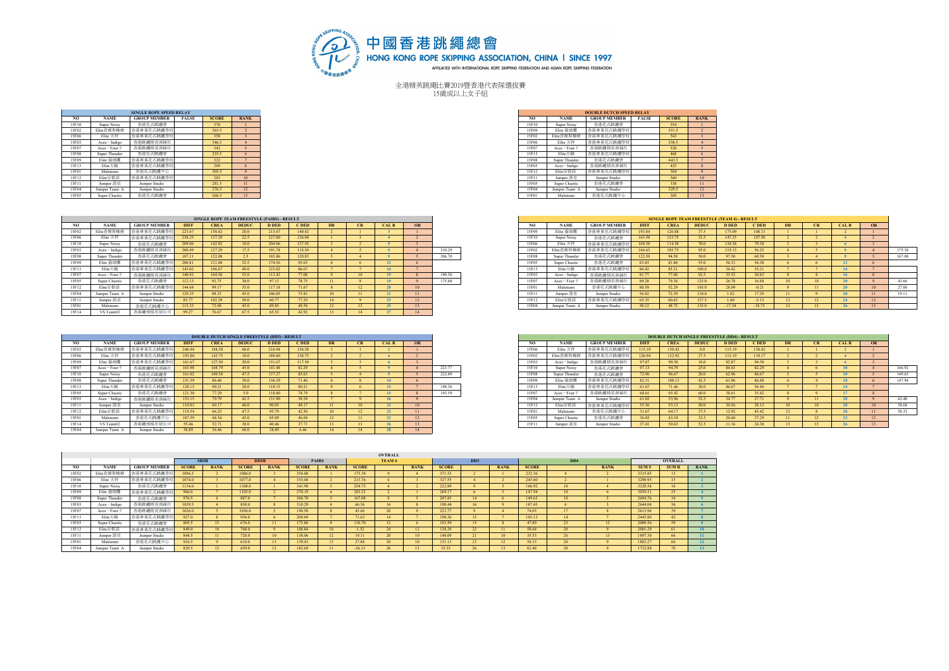

全港精英跳繩比賽2019暨香港代表隊選拔賽 15歲或以上女子組

|       |                    | <b>SINGLE ROPE SPEED RELAY</b>                  |              |                                                                                                                |                        |
|-------|--------------------|-------------------------------------------------|--------------|----------------------------------------------------------------------------------------------------------------|------------------------|
| NO    | <b>NAME</b>        | <b>GROUP MEMBER</b>                             | <b>FALSE</b> | <b>SCORE</b>                                                                                                   | <b>RANK</b>            |
| 15F10 | <b>Super Noisy</b> | 香港花式跳繩會                                         |              | 378                                                                                                            |                        |
| 15F02 | Elite杏爾斯橡樹         | 香港專業花式跳鑼學校                                      |              | 365.5                                                                                                          |                        |
| 15F06 | Elite 天秤           | 香港專業花式跳鑼學校                                      |              | 358                                                                                                            |                        |
| 15F03 | Aces-Indigo        | 香港跳繩精英訓練社                                       |              | 346.5                                                                                                          |                        |
| 15F07 | $Aces - Four +$    | 香港跳繩精英訓練社                                       |              | 342                                                                                                            |                        |
| 15F08 | Super Thunder      | 香港花式跳繩會                                         |              | 325.5                                                                                                          |                        |
| 15F09 | Elite 猫頭鷹          | 香港專業花式跳繩學校                                      |              | 322                                                                                                            |                        |
| 15F13 | Elite天鶴            | 香港專業花式跳鑼學校                                      |              | 309                                                                                                            |                        |
| 15F01 | Maleteam           | 香港花式跳繩中心                                        |              | 305.5                                                                                                          |                        |
| 15F12 | Elite安提諾           | 香港專業花式跳繩學校                                      |              | 283                                                                                                            | 10 <sup>10</sup>       |
| 15F11 | Jumper 諾星          | Jumper Studio                                   |              | 281.5                                                                                                          |                        |
|       |                    | the contract of the contract of the contract of |              | and the state of the state of the state of the state of the state of the state of the state of the state of th | <b>Service Service</b> |

|       |                 | <b>SINGLE ROPE SPEED RELAY</b> |              |              |                       |
|-------|-----------------|--------------------------------|--------------|--------------|-----------------------|
| NO.   | <b>NAME</b>     | <b>GROUP MEMBER</b>            | <b>FALSE</b> | <b>SCORE</b> | <b>RANK</b>           |
| 15F10 | Super Noisy     | 香港花式跳繩會                        |              | 378          |                       |
| 15F02 | Elite杏爾斯橡樹      | 香港專業花式跳繩學杉                     |              | 365.5        |                       |
| 15F06 | Elite 天秤        | 香港專業花式跳鑼學相                     |              | 358          |                       |
| 15F03 | Aces-Indigo     | 香港跳繩精英訓練社                      |              | 346.5        |                       |
| 15F07 | $Aces - Four +$ | 香港跳繩精英訓練社                      |              | 342          |                       |
| 15F08 | Super Thunder   | 香港花式跳鑼會                        |              | 325.5        |                       |
| 15F09 | Elite 猫頭鷹       | 香港專業花式跳繩學相                     |              | 322          |                       |
| 15F13 | Elite天鹤         | 香港專業花式跳繩學相                     |              | 309          |                       |
| 15F01 | Maleteam        | 香港花式跳繩中心                       |              | 305.5        |                       |
| 15F12 | Elite安提諾        | 香港專業花式跳繩學相                     |              | 283          | 10                    |
| 15F11 | Jumper 諧星       | Jumper Studio                  |              | 281.5        | $\mathbf{1}$          |
| 15F04 | Jumper Team A   | Jumper Studio                  |              | 276.5        | 12 <sup>o</sup><br>12 |
| 15F05 | Super Chaotic   | 香港花式跳繩會                        |              | 268.5        | 13                    |

|       |                 |                     |             |             | SINGLE ROPE TEAM FREESTYLE (PAIRS) - RESULT |        |         |           |    |        |                 |        |       |                    |                     |             | <b>SINGLE ROPE TEAM FREESTYLE (TEAM 4) - RESULT</b> |               |              |          |                 |      |  |
|-------|-----------------|---------------------|-------------|-------------|---------------------------------------------|--------|---------|-----------|----|--------|-----------------|--------|-------|--------------------|---------------------|-------------|-----------------------------------------------------|---------------|--------------|----------|-----------------|------|--|
| NO    | NAME.           | <b>GROUP MEMBER</b> | <b>DIFF</b> | <b>CREA</b> | <b>DEDIIC</b>                               | D DED  | $C$ DED | <b>DR</b> | CR | CAI, R | $\overline{OR}$ |        | NO.   | <b>NAME</b>        | <b>GROUP MEMBER</b> | <b>DIFF</b> | CRE                                                 | <b>DEDIIC</b> | <b>D DED</b> | C DED    | <b>DR</b>       | CALR |  |
| 15F02 | Elite杏爾斯橡樹      | 香港專業花式跳鑼星           | 223.67      | 150.42      | 20.0                                        | 213.67 | 140.42  |           |    |        |                 |        | 15F09 | Elite 猫頭鷹          | 香港專業花式跳繩學校          | 193.84      | 126.88                                              | 37.5          | 175.09       | 108.13   |                 |      |  |
| 15F06 | Elite 天秤        | 香港專業花式跳鑼星           | 238.25      | 137.29      | 22.5                                        | 227.00 | 126.04  |           |    |        |                 |        | 15F10 | <b>Super Noisy</b> | 香港花式跳鑼會             | 163.50      | 123.75                                              | 32.5          | 147.25       | 107.50   |                 |      |  |
| 15F10 | Super Noisy     | 香港花式跳鑼會             | 209.06      | 142.92      | 10.0                                        | 204.06 | 137.92  |           |    |        |                 |        | 15F06 | Elite 天秤           | 香港專業花式跳繩學           | 169.38      | 114.38                                              | 70.0          | 134.38       | 79.38    |                 |      |  |
| 15F03 | $Aces = Indigo$ | 香港跳鑼精英訓練            | 200.49      | 127.29      | 17.5                                        | 191.74 | 118.54  |           |    |        |                 | 310.29 | 15F02 | Elite查爾斯橡樹         | 香港專業花式跳繩學           | 166.63      | 103.75                                              | 95.0          | 119.13       | 56.25    |                 |      |  |
| 15F08 | Super Thunder   | 香港花式跳鑼會             | 187.11      | 122.08      | 2.5                                         | 185.86 | 120.83  |           |    |        |                 | 306.70 | 15F08 | Super Thunder      | 香港花式跳鑼會             | 122.50      | 94.58                                               | 50.0          | 97.50        | 69.58    |                 |      |  |
| 15F09 | Elite 猫頭鷹       | 香港專業花式跳鑼星           | 200.81      | 121.88      | 52.5                                        | 174.56 | 95.63   |           |    |        |                 |        | 15F05 | Super Chaotic      | 香港花式跳鑼會             | 83.83       | 81.88                                               | 55.0          | 56.33        | 54.38    |                 | 12   |  |
| 15F13 | Elite天鹤         | 香港專業花式跳鑼型           | 143.02      | 106.67      | 40.0                                        | 123.02 | 86.67   |           |    |        |                 |        | 15F13 | Elite天鶴            | 香港專業花式跳繩學           | 86.42       | 85.21                                               | 100.0         | 36.42        | 35.21    |                 | 14   |  |
| 15F07 | $Aces - Four +$ | 香港跳鑼精英訓練            | 140.92      | 104.58      | 55.0                                        | 113.42 | 77.08   |           |    |        |                 | 190.50 | 15F03 | Aces-Indigo        | 香港跳鑼精英訓練            | 81.77       |                                                     | 92.5          | 35.52        | 30.83    |                 | 16   |  |
| 15F05 | Super Chaotic   | 香港花式跳鑼會             | 112.13      | 93.75       | 30.0                                        | 97.13  | 78.75   |           |    |        |                 | 175.88 | 15F07 | $Aces = Four 7$    | 香港跳繩精英訓練?           | 89.28       | 79.38                                               | 125.0         | 26.78        | 16.88    | $\overline{10}$ | 20   |  |
| 15F12 | Elite安提諾        | 香港專業花式跳鑼星           | 144.68      | 99.17       | 55.0                                        | 117.18 | 71.67   |           |    |        |                 |        | 15F01 | Maleteam           | 香港花式跳鑼中心            | 80.59       | 52.29                                               | 105.0         | 28.09        | $-0.21$  |                 |      |  |
| 15F04 | Jumper Team A   | Jumper Studio       | 129.35      | 98.33       | 45.0                                        | 106.85 | 75.83   |           |    |        |                 |        | 15F11 | Jumper 諧舞          | Jumper Studio       | 56.82       | 72.29                                               | 110.0         | 1.82         | 17.29    |                 | 20   |  |
| 15F11 | Jumper 諧星       | Jumper Studio       | 85.77       | 102.29      | 50.0                                        | 60.77  | 77.29   |           |    |        |                 |        | 15F12 | Elite安提諾           | 香港專業花式跳繩尋           | 65.35       | 60.63                                               | 127.5         | 1.60         | $-313$   |                 |      |  |
| 15F01 | Maleteam        | 香港花式跳鑼中心            | 12.35       | 72.08       | 45.0                                        | 89.85  | 49.58   |           |    |        |                 |        | 15F04 | Jumper Team.       | Jumper Studio       | 50.12       | 48.75                                               | 135.0         | $-17.38$     | $-18.75$ |                 | 26   |  |
| 15F14 | VS Team02       | 香港纖飛揚有限公            |             | 76.67       | 67.5                                        | 65.52  | 42.92   |           |    |        |                 |        |       |                    |                     |             |                                                     |               |              |          |                 |      |  |

|       |                 |                     |             |             | <b>DOUBLE DUTCH SINGLE FREESTYLE (DD3) - RESULT</b> |              |        |    |                 |             |              |        |       |                    |                     |             |             |                  | <b>DOUBLE DUTCH SINGLE FREESTYLE (DD4) - RESULT</b> |        |           |    |             |    |
|-------|-----------------|---------------------|-------------|-------------|-----------------------------------------------------|--------------|--------|----|-----------------|-------------|--------------|--------|-------|--------------------|---------------------|-------------|-------------|------------------|-----------------------------------------------------|--------|-----------|----|-------------|----|
|       | <b>NAME</b>     | <b>GROUP MEMBER</b> | <b>DIFF</b> | <b>CREA</b> | <b>DEDUC</b>                                        | <b>D</b> DED | C DED  | DR | <b>CR</b>       | <b>CALR</b> | OR           |        |       | <b>NAME</b>        | <b>GROUP MEMBER</b> | <b>DIFF</b> | <b>CREA</b> | <b>DEDUC</b>     | <b>D</b> DED                                        | C DED  | <b>DR</b> | CR | <b>CALR</b> | OR |
| 15F02 | Elite查爾斯橡樹      | 香港專業花式跳鑼學,          | 246.94      | 184.58      | 60.0                                                | 216.94       | 154.58 |    |                 |             |              |        | 15F06 | Elite 天秤           | 香港專業花式跳繩學相          | 15.19       | 130.42      |                  | 115.19                                              | 130.42 |           |    |             |    |
| 15F06 | Elite 天秤        | 香港專業花式跳鑼型           |             | 143.75      | 10.0 <sub>1</sub>                                   | 188.80       | 138.75 |    |                 |             |              |        | 15F02 | Elite查爾斯橡樹         | 香港專業花式跳繩學           | 126.94      | 132.92      | 27.5             | 113.19                                              | 119.17 |           |    |             |    |
| 15F09 | Elite 猫頭鷹       | 香港專業花式跳鑼學           |             | 127.50      | 20.0                                                | 151.67       | 117.50 |    |                 |             |              |        |       | Aces-Indigo        | 香港跳鑼精英訓練            | 97.87       | 99.58       | 100 <sub>0</sub> | 92.87                                               | 94.58  |           |    |             |    |
| 15F07 | $Aces - Four +$ | 香港跳鑼精英訓練社           | 163.98      | 104.79      | 45.0                                                | 141.48       | 82.29  |    |                 |             |              | 223.77 |       | <b>Super Noisy</b> | 香港花式跳鑼會             | 97.13       | 94.79       | 25.0             | 84.63                                               | 82.29  |           |    | 10          |    |
| 15F10 | Super Noisy     | 香港花式跳繩會             | 161.02      | 109.38      |                                                     | 137.27       | 85.63  |    |                 |             |              | 222.89 | 15F08 | Super Thunder      | 香港花式跳繩會             | 72.96       | 96.67       | 20.0             | 62.96                                               | 86.67  |           |    | 10          |    |
| 15F08 | Super Thunder   | 香港花式跳鑼會             |             | 86.46       |                                                     | 136.39       | 71.46  |    |                 |             |              |        | 15F09 | Elite 猫頭鹰          | 港專業花式跳繩學            | 82.31       | 108.13      | 42.5             | 61.06                                               | 86.88  |           |    | 10          |    |
| 15F13 | Elite天鹤         | 香港專業花式跳鑼學           | 128.15      | 90.21       | 20.0                                                | 118.15       | 80.21  |    |                 |             |              | 198.36 |       | Elite天鹤            | 香港專業花式跳繩學           | 61.67       | 71.46       | 30.0             | 46.67                                               | 56.46  |           |    | 14          |    |
| 15F05 | Super Chaotic   | 香港花式跳繩會             | 121.30      | 77.29       | 5.0<                                                | 118.80       | 74.79  |    |                 |             |              | 193.59 | 15F07 | $Aces - Four +$    | 香港跳繩精英訓練            | 68.61       | 65.42       | 60.0             | 38.61                                               | 35.42  |           |    | 17          |    |
| 15F03 | $Aces = Indigo$ | 香港跳繩精英訓練?           |             | 79.79       |                                                     | 131.90       | 58.54  |    |                 |             |              |        |       | Jumper Team /      | Jumper Studio       | 61.02       | 53.96       | 52.5             | 34.77                                               | 27.71  |           |    | $\sim$      |    |
| 15F11 | Jumper 諧星       | Jumper Studio       |             | 69.17       | 40.0                                                | 90.93        | 49.17  |    |                 |             | 10           |        | 15F12 | Elite安提諾           | 香港專業花式跳繩學           | 55.56       | 53.13       | 50.0             |                                                     | 28.13  |           |    |             |    |
| 15F12 | Elite安提諾        | 香港專業花式跳繩學           | 119.54      | 66.25       |                                                     | 95.79        | 42.50  |    | $12-12$         |             | $\mathbf{H}$ |        | 15F01 | Maleteam           | 香港花式跳繩中             | 31.67       | 64 17       | 37.5             | 12.92                                               | 45.42  |           |    | 20          |    |
| 15F0  | Maleteam        | 香港花式跳鑼中心            | 107.59      | 68.54       | 45.0                                                | 85.09        | 46.04  |    | 11 <sup>2</sup> |             | 12           |        | 15F05 | Super Chaotic      | 香港花式跳鑼會             | 36.85       | 43.54       | 32.5             | 20.60                                               | 27.29  |           |    |             |    |
| 15F14 | VS Team02       | 香港繩飛揚有限公            |             | 52.71       |                                                     | 40 46        | 37.71  |    |                 |             |              |        | 15F11 | Jumper 諾星          | Jumper Studio       | 37.41       | 50.63       | 52.5             | 11.16                                               | 24.38  |           |    |             |    |
| 15F04 | Jumper Team A   | Jumper Studio       | 58.89       | 36.46       |                                                     | 28.89        | 6.46   |    |                 |             | 14           |        |       |                    |                     |             |             |                  |                                                     |        |           |    |             |    |

|       |                      |                     |             |             | SINGLE ROPE TEAM FREESTYLE (PAIRS) - RESULT |              |             |     |    |             |           |        |       |                    |                     |             |             | <b>SINGLE ROPE TEAM FREESTYLE (TEAM 4) - RESULT</b> |              |          |  |             |    |        |
|-------|----------------------|---------------------|-------------|-------------|---------------------------------------------|--------------|-------------|-----|----|-------------|-----------|--------|-------|--------------------|---------------------|-------------|-------------|-----------------------------------------------------|--------------|----------|--|-------------|----|--------|
| NO    | <b>NAME</b>          | <b>GROUP MEMBER</b> | <b>DIFF</b> | <b>CREA</b> | <b>DEDUC</b>                                | <b>D</b> DED | <b>CDED</b> | DR. | CR | <b>CALR</b> | <b>OR</b> |        |       | <b>NAME</b>        | <b>GROUP MEMBER</b> | <b>DIFF</b> | <b>CREA</b> | <b>DEDUC</b>                                        | <b>D</b> DED | C DED    |  | <b>CALR</b> | OR |        |
| 15F02 | Elite杏爾斯橡樹           | 港專業花式跳鑼學            | 223.67      | 150.42      | 20.0                                        | 213.67       | 140.42      |     |    |             |           |        | 15F09 | Elite 猫頭鷹          | 卡洪東業花式跳繩學           | 193.84      | 126.88      |                                                     | 175.09       | 108.13   |  |             |    |        |
| 15F06 | Elite 天秤             | 香港專業花式跳繩            | 238.25      | 137.29      | 22.5                                        | 227.00       | 126.04      |     |    |             |           |        | 15F10 | <b>Super Noisy</b> | 香港花式跳繩會             | 163.50      | 123.75      |                                                     | 147.25       | 107.50   |  |             |    |        |
| 15F10 | <b>Super Noisy</b>   | 香港花式跳鑼會             | 209.06      | 142.92      | $100 -$                                     | 204.06       | 137.92      |     |    |             |           |        | 15F06 | Elite 天秤           | <b>专港專業花式跳繩型</b>    | 169.38      | 114.38      |                                                     | 134.38       |          |  |             |    |        |
| 15F03 | Aces-Indigo          | 基斯基特基利特             | 200.49      | 127.29      | 17.5                                        | 191.74       | 118.54      |     |    |             |           | 310.29 | 15F02 | Elite查爾斯橡樹         | おおおやおおおき            | 166.63      | 103.75      | 95.0                                                | 119.13       | 56.25    |  |             |    | 175.38 |
| 15F08 | Super Thunder        | 香港花式跳鑼會             | 187.11      | 122.08      | 2.5                                         | 185.86       | 120.83      |     |    |             |           | 306.70 | 15F0  | Super Thunder      | 香港花式跳繩會             | 122.50      | 94.58       | 50.0                                                | 97.50        | 69.58    |  |             |    | 167.08 |
| 15F09 | Elite 猫頭蘭            | 津專業花式跳鑼學            | 200.81      | 121.88      | 52.5                                        | 174.56       | 95.63       |     |    |             |           |        | 15F05 | Super Chaotic      | 香港花式跳繩會             | 83.83       | 81.88       |                                                     | 56.33        |          |  | 12          |    |        |
| 15F13 | Elite天很              | 香港專業花式跳繩學           | 143.02      | 106.67      | 400                                         | 123.02       | 86.67       |     |    |             |           |        | 15F13 | Elite天鶴            | 香港專業花式跳繩            | 86.42       | 85.21       | 100.0                                               | 36.42        |          |  | 14          |    |        |
| 15F07 | $Aces - Four +$      | 香港跳羅精英訓練社           | 140.92      | 104.58      | 55.0                                        | 113.42       | 77.08       |     |    |             |           | 190.50 | 15F03 | Aces-Indigo        | 香港跳羅精英訓練?           | 8177        | 77.08       | 92.5                                                | 35.52        | 30.83    |  |             |    |        |
| 15F05 | <b>Super Chaotic</b> | 香港花式跳鑼會             | 112.13      |             | 30.0                                        | 97.13        | 78.75       |     |    |             |           | 175.88 | 15F07 | $Aces = Four 7$    | 香港跳鑼精英訓練?           | 89.28       | 79.38       | 125.0                                               | 26.78        |          |  |             |    | 43.66  |
| 15F12 | Elite安提諾             | 香港專業花式跳繩學           | 144.68      | 99.17       | 55.0                                        | 117.18       | 71.67       |     |    |             |           |        | 15F01 | Maleteam           | 香港花式跳鑼中心            | 80.59       | 52.29       | 105.0                                               | 28.09        |          |  |             |    | 27.88  |
| 15F04 | Jumper Team A        | Jumper Studio       | 129.35      | 98.33       | 45.0                                        | 106.85       | 75.83       |     |    |             |           |        | 15F1  | Jumper 諧星          | Jumper Studio       | 56.82       | 72.29       |                                                     | 1.82         |          |  |             |    |        |
| 15F11 | Jumper 諧星            | Jumper Studio       | 85.77       | 102.29      | 50.0                                        | 60.77        | 77.29       |     |    |             |           |        | 15F12 | Elite安提諾           | 香港專業花式跳鑼尋           | 65.35       | 60.63       | 127.5                                               | 1.60         |          |  | 24          |    |        |
| 15F01 | Maleteam             | 香港花式跳鑼中             | 112.35      |             | 45.0                                        | 89.85        | 49.58       |     |    |             |           |        | 15F04 | Jumper Team A      | Jumper Studio       | 50.12       | 48.75       | 135.0                                               | $-17.38'$    | $-18.75$ |  | 26          |    |        |

|       |                    |                     |             | DOUBLE DUTCH SINGLE FREESTYLE (DD3) - RESULT |              |        |        |           |    |             |           |        |       |                            |                     |             |             | <b>DOUBLE DUTCH SINGLE FREESTYLE (DD4) - RESULT</b> |              |             |           |             |           |        |
|-------|--------------------|---------------------|-------------|----------------------------------------------|--------------|--------|--------|-----------|----|-------------|-----------|--------|-------|----------------------------|---------------------|-------------|-------------|-----------------------------------------------------|--------------|-------------|-----------|-------------|-----------|--------|
| NO    | <b>NAME</b>        | <b>GROUP MEMBER</b> | <b>DIFF</b> | <b>CREA</b>                                  | <b>DEDUC</b> | D DED  | C DED  | <b>DR</b> | CR | <b>CALR</b> | <b>OR</b> |        |       | <b>NAME</b>                | <b>GROUP MEMBER</b> | <b>DIFF</b> | <b>CREA</b> | <b>DEDUC</b>                                        | <b>D</b> DED | <b>CDED</b> | <b>DR</b> | <b>CALR</b> | <b>OR</b> |        |
| 15F02 | Elite杏爾斯橡樹         | 法事業花式跳鑼學            | 246.94      | 184.58                                       | 60.0         | 216.94 | 154.58 |           |    |             |           |        | 15F06 | Elite 天秤                   | 香港專業花式跳繩學           | 115.19      | 130.42      |                                                     | 115.19       | 130.42      |           |             |           |        |
| 15F06 | Elite 天秤           | <b>专港專業花式跳鑼學</b>    | 193.80      | 143.75                                       | $100 -$      | 188.80 | 138.75 |           |    |             |           |        | 15F02 | Elite查爾斯橡樹                 | 香港專業花式跳鑼尋           | 126.94      | 132.92      |                                                     | 113.19       | 119.17      |           |             |           |        |
| 15F09 | Elite 貓頭蘭          | 港專業花式跳繩學            | 161.67      | 127.50                                       | 20.0         | 151.67 | 117.50 |           |    |             |           |        | 15F03 | Aces-Indigo                | 香港跳繩精英訓練            | 97.87       | 99.58       |                                                     | 92.87        | 94.58       |           |             |           |        |
| 15F07 | $Aces - Four +$    | 在洪跳纖精英訓練社           | 163.98      | 104.79                                       | 45.0         | 141.48 | 82.29  |           |    |             |           | 223.77 | 15F10 | <b>Super Noisy</b>         | 香港花式跳鑼會             | 97.13       | 94 79       |                                                     | 84.63        | 02.20       |           | 10          |           | 166.92 |
| 15F10 | <b>Super Noisy</b> | 香港花式跳鑼會             | 161.02      | 109.38                                       | 475          | 137.27 | 85.63  |           |    |             |           | 222.89 | 15F0  | Super Thunder              | 香港花式跳繩會             | 72.96       | 96.67       |                                                     | 62.96        | 86.67       |           | 10          |           | 149.63 |
| 15F08 | Super Thunder      | 香港花式跳鑼會             | 151.39      | 86.46                                        | 30.0         | 136.39 | 71.46  |           |    |             |           |        | 15F0  | Elite 猫頭鷹                  | 香港專業花式跳繩學           | 82.31       | 108.13      |                                                     | 61.06        | 86.88       |           | 10          |           | 147.94 |
| 15F13 | Elite天鹤            | <b>昏港專業花式跳繩學</b>    | 128.15      | 90.21                                        | 20.0         | 118.15 | 80.21  |           |    |             |           | 198.36 | 15F13 | Elite天鶴                    | 昏港專業花式跳繩學           | 61.67       | 71.46       |                                                     | 46.67        |             |           |             |           |        |
| 15F05 | Super Chaotic      | 香港花式跳鑼會             | 121.30      |                                              | 5.0          | 118.80 | 74 79  |           |    |             |           | 193.59 | 15F07 | $Aces = Four +$            | 香港跳鑼精英訓練?           | 68.61       | 65.42       |                                                     | 38.61        | 35.42       |           | 17          |           |        |
| 15F03 | Aces-Indigo        | 香港跳鑼精英訓練社           | 153.15      |                                              | 42.5         | 131.90 | 58.54  |           |    |             |           |        | 15F04 | Jumper Team A              | Jumper Studio       | 61.02       | 53.96       |                                                     | 34.77        |             |           |             |           | 62.48  |
| 15F11 | Jumper 済年          | Jumper Studio       | 110.93      | 69.17                                        | 400          | 90.93  | 49 17  |           |    |             | 13.00     |        | 15F12 | Elite安提諾                   | 香港專業花式跳繩學           | 55.56       | 53.13       |                                                     | 30.56        | 28.13       |           | -201        |           | 58.68  |
| 15F12 | Elite安提諾           | 香港專業花式跳鑼學           | 119.54      | 66.25                                        | 475          | 95.79  | 42.50  |           |    |             |           |        | 15F01 | Maleteam                   | 香港花式跳鑼中心            | 31.67       | 64 17       |                                                     | 12.92        | 15.42       |           |             |           | 58.33  |
| 15F01 | Maleteam           | 香港花式跳鑼中             | 107.59      | 68.54                                        | 45.0         | 85.09  | 46.04  |           |    |             |           |        | 15F05 | Super Chaotic              | 香港花式跳鑼會             | 36.85       | 43.54       |                                                     | 20.60        |             |           | 23          |           |        |
| 15F14 | VS Team02          |                     | 55.46       | 52.71                                        | 30.0         | 40.46  | 27.71  |           |    |             |           |        | 15F1  | $number$ <sup>26</sup> $P$ | mner Studio         | 37.41       | 50.63       | 20.5                                                | 11.16        |             |           |             |           |        |

|       |                        |                     |              |                  |              |                 |              |                 |              | <b>OVERALL</b>  |                  |              |                 |                  |              |                 |                 |              |                |             |
|-------|------------------------|---------------------|--------------|------------------|--------------|-----------------|--------------|-----------------|--------------|-----------------|------------------|--------------|-----------------|------------------|--------------|-----------------|-----------------|--------------|----------------|-------------|
|       |                        |                     | <b>SRSR</b>  |                  | <b>DDSR</b>  |                 |              | <b>PAIRS</b>    |              | TEAM 4          |                  |              | DD3             |                  |              | DD <sub>4</sub> |                 |              | <b>OVERALL</b> |             |
| NO.   | <b>NAME</b>            | <b>GROUP MEMBER</b> | <b>SCORE</b> | <b>RANK</b>      | <b>SCORE</b> | <b>RANK</b>     | <b>SCORE</b> | <b>RANK</b>     | <b>SCORE</b> |                 | <b>RANK</b>      | <b>SCORE</b> |                 | <b>RANK</b>      | <b>SCORE</b> |                 | <b>RANK</b>     | <b>SUM S</b> | <b>SUM R</b>   | <b>RANK</b> |
| 15F02 | Elite杏爾斯橡樹             | 港專業花式跳繩學相           | 1096.5       |                  | 1086.0       |                 | 354.08       |                 | 175.38       |                 |                  | 371.53       |                 |                  | 232.36       |                 |                 | 3315.85      | $13-1$         |             |
| 15F06 | Elite 天秤               | 香港專業花式跳鑼學相          | 1074.0       |                  | 1077.0       |                 | 353.04       |                 | 213.76       |                 |                  | 327.55       |                 |                  | 245.60       |                 |                 | 3290.95      | $15-15$        |             |
| 15F10 | <b>Super Noisy</b>     | 香港花式跳繩會             | 1134.0       |                  | 1108.0       |                 | 341.98       |                 | 254.75       |                 |                  | 222.89       |                 |                  | 166.92       | 10              |                 | 3228.54      | 16             |             |
| 15F09 | Elite 猫頭鹰              | 香港專業花式跳繩學校          | 966.0        |                  | 1103.0       |                 | 270.19       |                 | 283.22       |                 |                  | 269.17       |                 |                  | 147.94       | 10              |                 | 3039.51      | 25             |             |
| 15F08 | Super Thunder          | 香港花式跳繩會             | 976.5        |                  | 8870         |                 | 306.70       |                 | 167.08       |                 |                  | 207.85       | $ 14\rangle$    |                  | 149.63       | 10              |                 | 2694.76      | 34             |             |
| 15F03 | Aces-Indigo            | 香港跳繩精英訓練社           | 1039.5       |                  | 850.0        |                 | 310.29       |                 | 66.36        | 16              |                  | 190.44       | 16              |                  | 187.45       |                 |                 | 2644.04      | 36             |             |
| 15F07 | Aces-Four <sup>7</sup> | 香港跳繩精英訓練社           | 1026.0       |                  | 1056.0       |                 | 190.50       |                 | 43.66        | 20              |                  | 223.77       |                 |                  | 74.03        | 17              |                 | 2613.96      | 39             |             |
| 15F13 | Elite天鹤                | 香港專業花式跳繩學校          | 927.0        |                  | 936.0        |                 | 209.69       |                 | 71.63        | 14              |                  | 198.36       | $15-15$         |                  | 103.13       | 14              |                 | 2445.80      | 42             |             |
| 15F05 | Super Chaotic          | 香港花式跳鑼會             | 805.5        | $13-13$          | 676.0        | $_{11}$         | 175.88       |                 | 110.70       | 12 <sup>2</sup> |                  | 193.59       | $15-15$         |                  | 47.89        | 23              | 12 <sup>°</sup> | 2009.56      | 59             |             |
| 15F12 | Elite安提諾               | 香港專業花式跳繩學相          | 849.0        | 10 <sup>10</sup> | 768.0        |                 | 188.84       | 10 <sup>°</sup> | $-1.52$      | 24              | 12 <sup>2</sup>  | 138.29       | 22 <sub>1</sub> |                  | 58.68        | 20              |                 | 2001.29      | 61             |             |
| 15F11 | Jumper 諧星              | Jumper Studio       | 844.5        | 11               | 720.0        | 10 <sup>°</sup> | 138.06       | $12-12$         | 19.11        | 20              |                  | 140.09       | 21              | 10 <sup>10</sup> | 35.53        | 26              | $13-13$         | 1897.30      | 66             |             |
| 15F01 | Maleteam               | 香港花式跳繩中心            | 916.5        |                  | 610.0        | 13              | 139.43       | $13-13$         | 27.88        | 20              | 10 <sup>10</sup> | 131.13       | 23              | 12 <sup>2</sup>  | 58.33        | 20              |                 | 1883.27      | 66             | $\bullet$   |
| 15F04 | Jumper Team A          | Jumper Studio       | 829.5        | 12 <sup>2</sup>  | 659.0        | 12              | 182.69       |                 | $-36.13$     |                 |                  | 35.35        |                 |                  | 62.48        | $\sim$          |                 | 1732.88      | 70             |             |